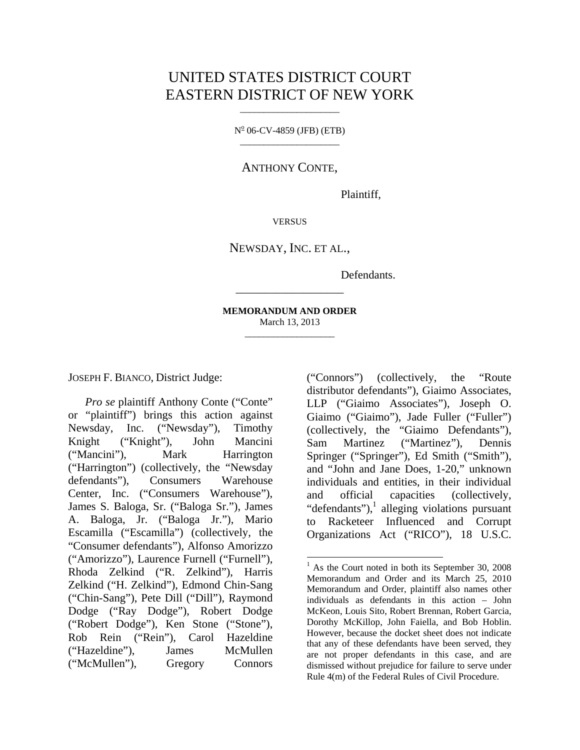# UNITED STATES DISTRICT COURT EASTERN DISTRICT OF NEW YORK

 $N^{\circ}$  06-CV-4859 (JFB) (ETB) \_\_\_\_\_\_\_\_\_\_\_\_\_\_\_\_\_\_\_\_\_

ANTHONY CONTE,

Plaintiff,

**VERSUS** 

NEWSDAY, INC. ET AL.,

Defendants.

**MEMORANDUM AND ORDER**  March 13, 2013 \_\_\_\_\_\_\_\_\_\_\_\_\_\_\_\_\_\_\_

l

\_\_\_\_\_\_\_\_\_\_\_\_\_\_\_\_\_\_\_

JOSEPH F. BIANCO, District Judge:

*Pro se* plaintiff Anthony Conte ("Conte" or "plaintiff") brings this action against Newsday, Inc. ("Newsday"), Timothy Knight ("Knight"), John Mancini ("Mancini"), Mark Harrington ("Harrington") (collectively, the "Newsday defendants"), Consumers Warehouse Center, Inc. ("Consumers Warehouse"), James S. Baloga, Sr. ("Baloga Sr."), James A. Baloga, Jr. ("Baloga Jr."), Mario Escamilla ("Escamilla") (collectively, the "Consumer defendants"), Alfonso Amorizzo ("Amorizzo"), Laurence Furnell ("Furnell"), Rhoda Zelkind ("R. Zelkind"), Harris Zelkind ("H. Zelkind"), Edmond Chin-Sang ("Chin-Sang"), Pete Dill ("Dill"), Raymond Dodge ("Ray Dodge"), Robert Dodge ("Robert Dodge"), Ken Stone ("Stone"), Rob Rein ("Rein"), Carol Hazeldine ("Hazeldine"), James McMullen ("McMullen"), Gregory Connors

("Connors") (collectively, the "Route distributor defendants"), Giaimo Associates, LLP ("Giaimo Associates"), Joseph O. Giaimo ("Giaimo"), Jade Fuller ("Fuller") (collectively, the "Giaimo Defendants"), Sam Martinez ("Martinez"), Dennis Springer ("Springer"), Ed Smith ("Smith"), and "John and Jane Does, 1-20," unknown individuals and entities, in their individual and official capacities (collectively, "defendants"), $\frac{1}{1}$  alleging violations pursuant to Racketeer Influenced and Corrupt Organizations Act ("RICO"), 18 U.S.C.

<sup>&</sup>lt;sup>1</sup> As the Court noted in both its September 30, 2008 Memorandum and Order and its March 25, 2010 Memorandum and Order, plaintiff also names other individuals as defendants in this action – John McKeon, Louis Sito, Robert Brennan, Robert Garcia, Dorothy McKillop, John Faiella, and Bob Hoblin. However, because the docket sheet does not indicate that any of these defendants have been served, they are not proper defendants in this case, and are dismissed without prejudice for failure to serve under Rule 4(m) of the Federal Rules of Civil Procedure.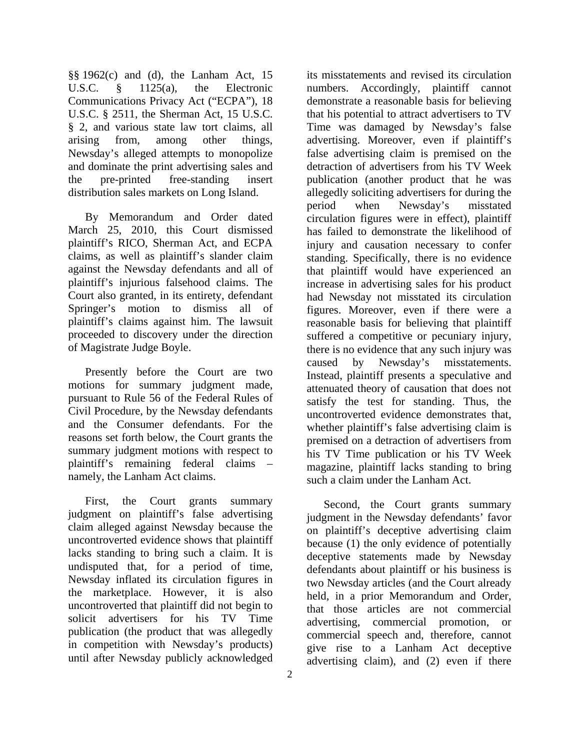§§ 1962(c) and (d), the Lanham Act, 15 U.S.C. § 1125(a), the Electronic Communications Privacy Act ("ECPA"), 18 U.S.C. § 2511, the Sherman Act, 15 U.S.C. § 2, and various state law tort claims, all arising from, among other things, Newsday's alleged attempts to monopolize and dominate the print advertising sales and the pre-printed free-standing insert distribution sales markets on Long Island.

By Memorandum and Order dated March 25, 2010, this Court dismissed plaintiff's RICO, Sherman Act, and ECPA claims, as well as plaintiff's slander claim against the Newsday defendants and all of plaintiff's injurious falsehood claims. The Court also granted, in its entirety, defendant Springer's motion to dismiss all of plaintiff's claims against him. The lawsuit proceeded to discovery under the direction of Magistrate Judge Boyle.

Presently before the Court are two motions for summary judgment made, pursuant to Rule 56 of the Federal Rules of Civil Procedure, by the Newsday defendants and the Consumer defendants. For the reasons set forth below, the Court grants the summary judgment motions with respect to plaintiff's remaining federal claims – namely, the Lanham Act claims.

First, the Court grants summary judgment on plaintiff's false advertising claim alleged against Newsday because the uncontroverted evidence shows that plaintiff lacks standing to bring such a claim. It is undisputed that, for a period of time, Newsday inflated its circulation figures in the marketplace. However, it is also uncontroverted that plaintiff did not begin to solicit advertisers for his TV Time publication (the product that was allegedly in competition with Newsday's products) until after Newsday publicly acknowledged

its misstatements and revised its circulation numbers. Accordingly, plaintiff cannot demonstrate a reasonable basis for believing that his potential to attract advertisers to TV Time was damaged by Newsday's false advertising. Moreover, even if plaintiff's false advertising claim is premised on the detraction of advertisers from his TV Week publication (another product that he was allegedly soliciting advertisers for during the period when Newsday's misstated circulation figures were in effect), plaintiff has failed to demonstrate the likelihood of injury and causation necessary to confer standing. Specifically, there is no evidence that plaintiff would have experienced an increase in advertising sales for his product had Newsday not misstated its circulation figures. Moreover, even if there were a reasonable basis for believing that plaintiff suffered a competitive or pecuniary injury, there is no evidence that any such injury was caused by Newsday's misstatements. Instead, plaintiff presents a speculative and attenuated theory of causation that does not satisfy the test for standing. Thus, the uncontroverted evidence demonstrates that, whether plaintiff's false advertising claim is premised on a detraction of advertisers from his TV Time publication or his TV Week magazine, plaintiff lacks standing to bring such a claim under the Lanham Act.

Second, the Court grants summary judgment in the Newsday defendants' favor on plaintiff's deceptive advertising claim because (1) the only evidence of potentially deceptive statements made by Newsday defendants about plaintiff or his business is two Newsday articles (and the Court already held, in a prior Memorandum and Order, that those articles are not commercial advertising, commercial promotion, or commercial speech and, therefore, cannot give rise to a Lanham Act deceptive advertising claim), and (2) even if there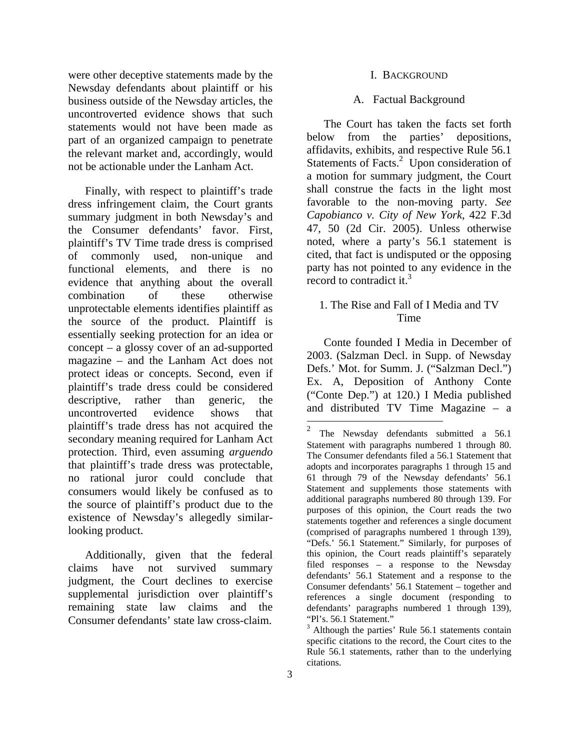were other deceptive statements made by the Newsday defendants about plaintiff or his business outside of the Newsday articles, the uncontroverted evidence shows that such statements would not have been made as part of an organized campaign to penetrate the relevant market and, accordingly, would not be actionable under the Lanham Act.

Finally, with respect to plaintiff's trade dress infringement claim, the Court grants summary judgment in both Newsday's and the Consumer defendants' favor. First, plaintiff's TV Time trade dress is comprised of commonly used, non-unique and functional elements, and there is no evidence that anything about the overall combination of these otherwise unprotectable elements identifies plaintiff as the source of the product. Plaintiff is essentially seeking protection for an idea or concept – a glossy cover of an ad-supported magazine – and the Lanham Act does not protect ideas or concepts. Second, even if plaintiff's trade dress could be considered descriptive, rather than generic, the uncontroverted evidence shows that plaintiff's trade dress has not acquired the secondary meaning required for Lanham Act protection. Third, even assuming *arguendo* that plaintiff's trade dress was protectable, no rational juror could conclude that consumers would likely be confused as to the source of plaintiff's product due to the existence of Newsday's allegedly similarlooking product.

Additionally, given that the federal claims have not survived summary judgment, the Court declines to exercise supplemental jurisdiction over plaintiff's remaining state law claims and the Consumer defendants' state law cross-claim.

#### I. BACKGROUND

#### A. Factual Background

The Court has taken the facts set forth below from the parties' depositions, affidavits, exhibits, and respective Rule 56.1 Statements of Facts.<sup>2</sup> Upon consideration of a motion for summary judgment, the Court shall construe the facts in the light most favorable to the non-moving party. *See Capobianco v. City of New York*, 422 F.3d 47, 50 (2d Cir. 2005). Unless otherwise noted, where a party's 56.1 statement is cited, that fact is undisputed or the opposing party has not pointed to any evidence in the record to contradict it.<sup>3</sup>

# 1. The Rise and Fall of I Media and TV Time

Conte founded I Media in December of 2003. (Salzman Decl. in Supp. of Newsday Defs.' Mot. for Summ. J. ("Salzman Decl.") Ex. A, Deposition of Anthony Conte ("Conte Dep.") at 120.) I Media published and distributed TV Time Magazine – a

The Newsday defendants submitted a 56.1 Statement with paragraphs numbered 1 through 80. The Consumer defendants filed a 56.1 Statement that adopts and incorporates paragraphs 1 through 15 and 61 through 79 of the Newsday defendants' 56.1 Statement and supplements those statements with additional paragraphs numbered 80 through 139. For purposes of this opinion, the Court reads the two statements together and references a single document (comprised of paragraphs numbered 1 through 139), "Defs.' 56.1 Statement." Similarly, for purposes of this opinion, the Court reads plaintiff's separately filed responses – a response to the Newsday defendants' 56.1 Statement and a response to the Consumer defendants' 56.1 Statement – together and references a single document (responding to defendants' paragraphs numbered 1 through 139), "Pl's. 56.1 Statement."

<sup>&</sup>lt;sup>3</sup> Although the parties' Rule 56.1 statements contain specific citations to the record, the Court cites to the Rule 56.1 statements, rather than to the underlying citations.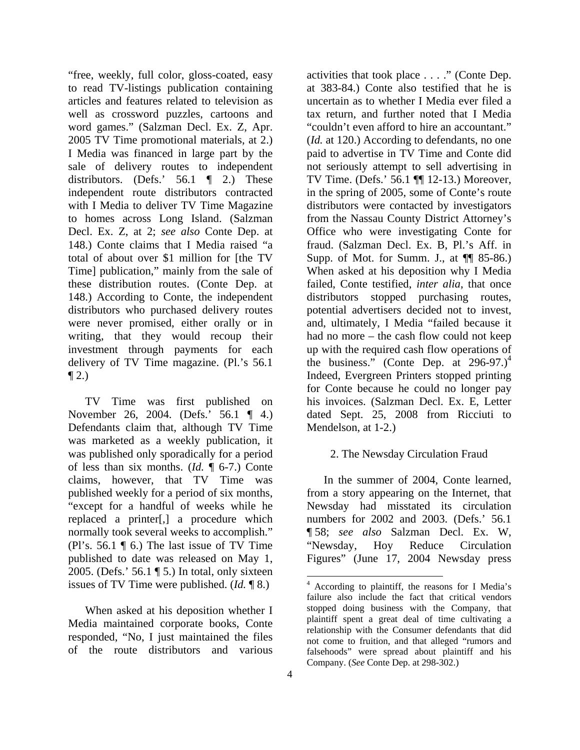"free, weekly, full color, gloss-coated, easy to read TV-listings publication containing articles and features related to television as well as crossword puzzles, cartoons and word games." (Salzman Decl. Ex. Z, Apr. 2005 TV Time promotional materials, at 2.) I Media was financed in large part by the sale of delivery routes to independent distributors. (Defs.' 56.1 ¶ 2.) These independent route distributors contracted with I Media to deliver TV Time Magazine to homes across Long Island. (Salzman Decl. Ex. Z, at 2; *see also* Conte Dep. at 148.) Conte claims that I Media raised "a total of about over \$1 million for [the TV Time] publication," mainly from the sale of these distribution routes. (Conte Dep. at 148.) According to Conte, the independent distributors who purchased delivery routes were never promised, either orally or in writing, that they would recoup their investment through payments for each delivery of TV Time magazine. (Pl.'s 56.1  $\P$  2.)

TV Time was first published on November 26, 2004. (Defs.' 56.1 ¶ 4.) Defendants claim that, although TV Time was marketed as a weekly publication, it was published only sporadically for a period of less than six months. (*Id.* ¶ 6-7.) Conte claims, however, that TV Time was published weekly for a period of six months, "except for a handful of weeks while he replaced a printer[,] a procedure which normally took several weeks to accomplish." (Pl's.  $56.1 \n\textdegree$ ) The last issue of TV Time published to date was released on May 1, 2005. (Defs.' 56.1 ¶ 5.) In total, only sixteen issues of TV Time were published. (*Id.* ¶ 8.)

When asked at his deposition whether I Media maintained corporate books, Conte responded, "No, I just maintained the files of the route distributors and various

activities that took place . . . ." (Conte Dep. at 383-84.) Conte also testified that he is uncertain as to whether I Media ever filed a tax return, and further noted that I Media "couldn't even afford to hire an accountant." (*Id.* at 120.) According to defendants, no one paid to advertise in TV Time and Conte did not seriously attempt to sell advertising in TV Time. (Defs.' 56.1 ¶¶ 12-13.) Moreover, in the spring of 2005, some of Conte's route distributors were contacted by investigators from the Nassau County District Attorney's Office who were investigating Conte for fraud. (Salzman Decl. Ex. B, Pl.'s Aff. in Supp. of Mot. for Summ. J., at ¶¶ 85-86.) When asked at his deposition why I Media failed, Conte testified, *inter alia*, that once distributors stopped purchasing routes, potential advertisers decided not to invest, and, ultimately, I Media "failed because it had no more – the cash flow could not keep up with the required cash flow operations of the business." (Conte Dep. at  $296-97.$ )<sup>4</sup> Indeed, Evergreen Printers stopped printing for Conte because he could no longer pay his invoices. (Salzman Decl. Ex. E, Letter dated Sept. 25, 2008 from Ricciuti to Mendelson, at 1-2.)

### 2. The Newsday Circulation Fraud

In the summer of 2004, Conte learned, from a story appearing on the Internet, that Newsday had misstated its circulation numbers for 2002 and 2003. (Defs.' 56.1 ¶ 58; *see also* Salzman Decl. Ex. W, "Newsday, Hoy Reduce Circulation Figures" (June 17, 2004 Newsday press

<sup>4</sup> According to plaintiff, the reasons for I Media's failure also include the fact that critical vendors stopped doing business with the Company, that plaintiff spent a great deal of time cultivating a relationship with the Consumer defendants that did not come to fruition, and that alleged "rumors and falsehoods" were spread about plaintiff and his Company. (*See* Conte Dep. at 298-302.)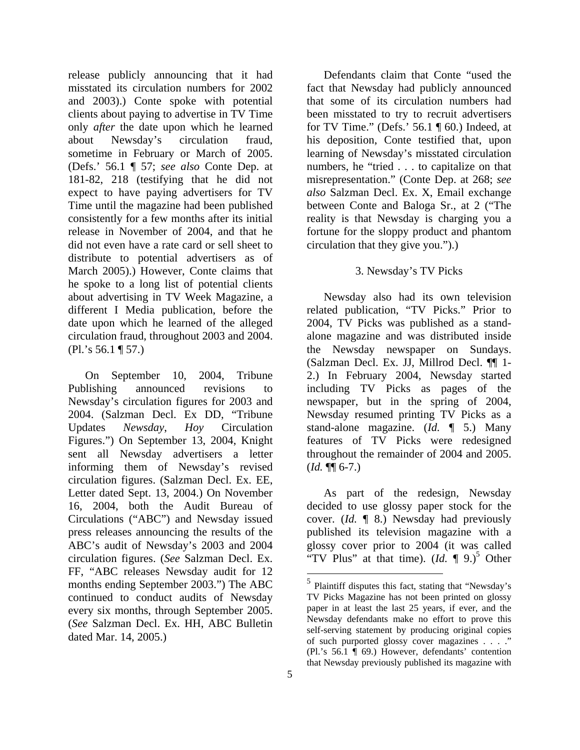release publicly announcing that it had misstated its circulation numbers for 2002 and 2003).) Conte spoke with potential clients about paying to advertise in TV Time only *after* the date upon which he learned about Newsday's circulation fraud, sometime in February or March of 2005. (Defs.' 56.1 ¶ 57; *see also* Conte Dep. at 181-82, 218 (testifying that he did not expect to have paying advertisers for TV Time until the magazine had been published consistently for a few months after its initial release in November of 2004, and that he did not even have a rate card or sell sheet to distribute to potential advertisers as of March 2005).) However, Conte claims that he spoke to a long list of potential clients about advertising in TV Week Magazine, a different I Media publication, before the date upon which he learned of the alleged circulation fraud, throughout 2003 and 2004. (Pl.'s 56.1 ¶ 57.)

On September 10, 2004, Tribune Publishing announced revisions to Newsday's circulation figures for 2003 and 2004. (Salzman Decl. Ex DD, "Tribune Updates *Newsday*, *Hoy* Circulation Figures.") On September 13, 2004, Knight sent all Newsday advertisers a letter informing them of Newsday's revised circulation figures. (Salzman Decl. Ex. EE, Letter dated Sept. 13, 2004.) On November 16, 2004, both the Audit Bureau of Circulations ("ABC") and Newsday issued press releases announcing the results of the ABC's audit of Newsday's 2003 and 2004 circulation figures. (*See* Salzman Decl. Ex. FF, "ABC releases Newsday audit for 12 months ending September 2003.") The ABC continued to conduct audits of Newsday every six months, through September 2005. (*See* Salzman Decl. Ex. HH, ABC Bulletin dated Mar. 14, 2005.)

Defendants claim that Conte "used the fact that Newsday had publicly announced that some of its circulation numbers had been misstated to try to recruit advertisers for TV Time." (Defs.'  $56.1 \text{ } \text{\ensuremath{\mathsf{I}}}\xspace$  60.) Indeed, at his deposition, Conte testified that, upon learning of Newsday's misstated circulation numbers, he "tried . . . to capitalize on that misrepresentation." (Conte Dep. at 268; *see also* Salzman Decl. Ex. X, Email exchange between Conte and Baloga Sr., at 2 ("The reality is that Newsday is charging you a fortune for the sloppy product and phantom circulation that they give you.").)

# 3. Newsday's TV Picks

Newsday also had its own television related publication, "TV Picks." Prior to 2004, TV Picks was published as a standalone magazine and was distributed inside the Newsday newspaper on Sundays. (Salzman Decl. Ex. JJ, Millrod Decl. ¶¶ 1- 2.) In February 2004, Newsday started including TV Picks as pages of the newspaper, but in the spring of 2004, Newsday resumed printing TV Picks as a stand-alone magazine. (*Id.* ¶ 5.) Many features of TV Picks were redesigned throughout the remainder of 2004 and 2005.  $(Id. \P\P 6-7.)$ 

As part of the redesign, Newsday decided to use glossy paper stock for the cover. (*Id.* ¶ 8.) Newsday had previously published its television magazine with a glossy cover prior to 2004 (it was called "TV Plus" at that time).  $(Id. \P 9.)^5$  Other

 $<sup>5</sup>$  Plaintiff disputes this fact, stating that "Newsday's</sup> TV Picks Magazine has not been printed on glossy paper in at least the last 25 years, if ever, and the Newsday defendants make no effort to prove this self-serving statement by producing original copies of such purported glossy cover magazines . . . ." (Pl.'s 56.1 ¶ 69.) However, defendants' contention that Newsday previously published its magazine with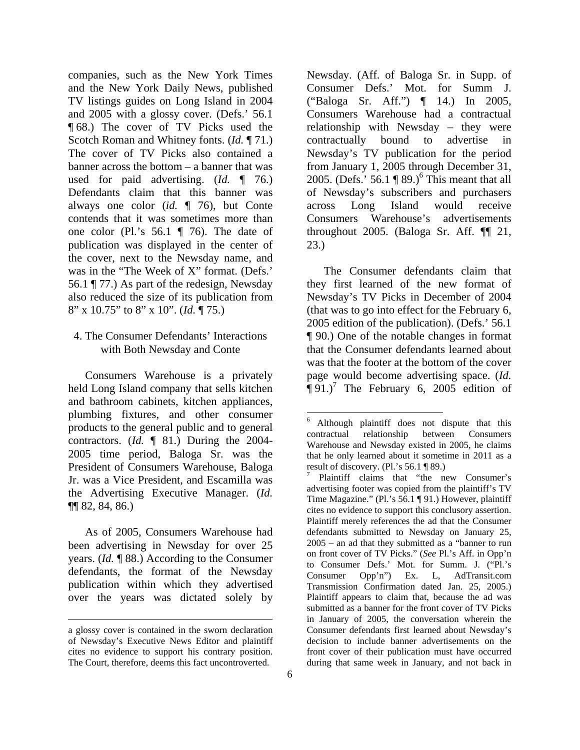companies, such as the New York Times and the New York Daily News, published TV listings guides on Long Island in 2004 and 2005 with a glossy cover. (Defs.' 56.1 ¶ 68.) The cover of TV Picks used the Scotch Roman and Whitney fonts. (*Id.* ¶ 71.) The cover of TV Picks also contained a banner across the bottom – a banner that was used for paid advertising. (*Id.* ¶ 76.) Defendants claim that this banner was always one color (*id.* ¶ 76), but Conte contends that it was sometimes more than one color (Pl.'s 56.1 ¶ 76). The date of publication was displayed in the center of the cover, next to the Newsday name, and was in the "The Week of X" format. (Defs.' 56.1 ¶ 77.) As part of the redesign, Newsday also reduced the size of its publication from 8" x 10.75" to 8" x 10". (*Id.* ¶ 75.)

### 4. The Consumer Defendants' Interactions with Both Newsday and Conte

Consumers Warehouse is a privately held Long Island company that sells kitchen and bathroom cabinets, kitchen appliances, plumbing fixtures, and other consumer products to the general public and to general contractors. (*Id.* ¶ 81.) During the 2004- 2005 time period, Baloga Sr. was the President of Consumers Warehouse, Baloga Jr. was a Vice President, and Escamilla was the Advertising Executive Manager. (*Id.* ¶¶ 82, 84, 86.)

As of 2005, Consumers Warehouse had been advertising in Newsday for over 25 years. (*Id.* ¶ 88.) According to the Consumer defendants, the format of the Newsday publication within which they advertised over the years was dictated solely by

l

Newsday. (Aff. of Baloga Sr. in Supp. of Consumer Defs.' Mot. for Summ J. ("Baloga Sr. Aff.") ¶ 14.) In 2005, Consumers Warehouse had a contractual relationship with Newsday – they were contractually bound to advertise in Newsday's TV publication for the period from January 1, 2005 through December 31, 2005. (Defs.' 56.1  $\P$  89.)<sup>6</sup> This meant that all of Newsday's subscribers and purchasers across Long Island would receive Consumers Warehouse's advertisements throughout 2005. (Baloga Sr. Aff. ¶¶ 21, 23.)

The Consumer defendants claim that they first learned of the new format of Newsday's TV Picks in December of 2004 (that was to go into effect for the February 6, 2005 edition of the publication). (Defs.' 56.1 ¶ 90.) One of the notable changes in format that the Consumer defendants learned about was that the footer at the bottom of the cover page would become advertising space. (*Id.*  $\P$ 91.)<sup>7</sup> The February 6, 2005 edition of

a glossy cover is contained in the sworn declaration of Newsday's Executive News Editor and plaintiff cites no evidence to support his contrary position. The Court, therefore, deems this fact uncontroverted.

<sup>6</sup> Although plaintiff does not dispute that this contractual relationship between Consumers Warehouse and Newsday existed in 2005, he claims that he only learned about it sometime in 2011 as a result of discovery. (Pl.'s 56.1 ¶ 89.)

<sup>7</sup> Plaintiff claims that "the new Consumer's advertising footer was copied from the plaintiff's TV Time Magazine." (Pl.'s 56.1 ¶ 91.) However, plaintiff cites no evidence to support this conclusory assertion. Plaintiff merely references the ad that the Consumer defendants submitted to Newsday on January 25, 2005 – an ad that they submitted as a "banner to run on front cover of TV Picks." (*See* Pl.'s Aff. in Opp'n to Consumer Defs.' Mot. for Summ. J. ("Pl.'s Consumer Opp'n") Ex. L, AdTransit.com Transmission Confirmation dated Jan. 25, 2005.) Plaintiff appears to claim that, because the ad was submitted as a banner for the front cover of TV Picks in January of 2005, the conversation wherein the Consumer defendants first learned about Newsday's decision to include banner advertisements on the front cover of their publication must have occurred during that same week in January, and not back in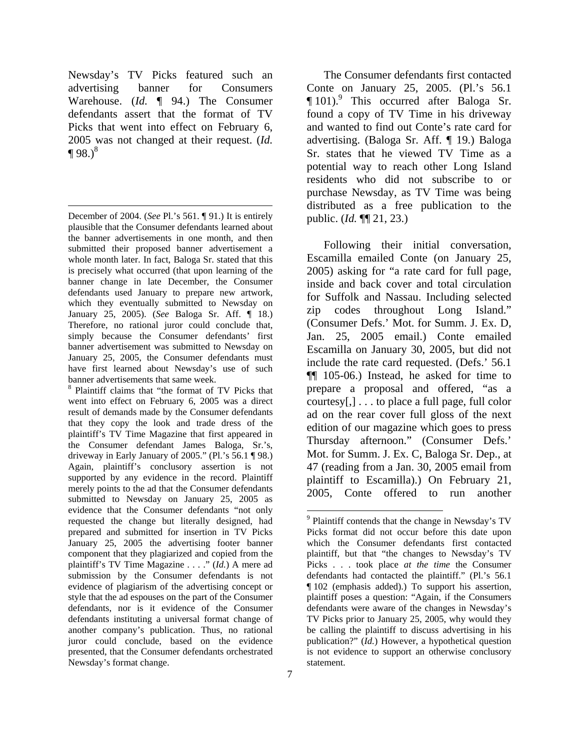Newsday's TV Picks featured such an advertising banner for Consumers Warehouse. (*Id.* ¶ 94.) The Consumer defendants assert that the format of TV Picks that went into effect on February 6, 2005 was not changed at their request. (*Id.*  $\P 98.$ <sup>8</sup>

l

8 Plaintiff claims that "the format of TV Picks that went into effect on February 6, 2005 was a direct result of demands made by the Consumer defendants that they copy the look and trade dress of the plaintiff's TV Time Magazine that first appeared in the Consumer defendant James Baloga, Sr.'s, driveway in Early January of 2005." (Pl.'s 56.1 ¶ 98.) Again, plaintiff's conclusory assertion is not supported by any evidence in the record. Plaintiff merely points to the ad that the Consumer defendants submitted to Newsday on January 25, 2005 as evidence that the Consumer defendants "not only requested the change but literally designed, had prepared and submitted for insertion in TV Picks January 25, 2005 the advertising footer banner component that they plagiarized and copied from the plaintiff's TV Time Magazine . . . ." (*Id.*) A mere ad submission by the Consumer defendants is not evidence of plagiarism of the advertising concept or style that the ad espouses on the part of the Consumer defendants, nor is it evidence of the Consumer defendants instituting a universal format change of another company's publication. Thus, no rational juror could conclude, based on the evidence presented, that the Consumer defendants orchestrated Newsday's format change.

The Consumer defendants first contacted Conte on January 25, 2005. (Pl.'s 56.1 ¶ 101).9 This occurred after Baloga Sr. found a copy of TV Time in his driveway and wanted to find out Conte's rate card for advertising. (Baloga Sr. Aff. ¶ 19.) Baloga Sr. states that he viewed TV Time as a potential way to reach other Long Island residents who did not subscribe to or purchase Newsday, as TV Time was being distributed as a free publication to the public. (*Id.* ¶¶ 21, 23.)

Following their initial conversation, Escamilla emailed Conte (on January 25, 2005) asking for "a rate card for full page, inside and back cover and total circulation for Suffolk and Nassau. Including selected zip codes throughout Long Island." (Consumer Defs.' Mot. for Summ. J. Ex. D, Jan. 25, 2005 email.) Conte emailed Escamilla on January 30, 2005, but did not include the rate card requested. (Defs.' 56.1 ¶¶ 105-06.) Instead, he asked for time to prepare a proposal and offered, "as a courtesy[,] . . . to place a full page, full color ad on the rear cover full gloss of the next edition of our magazine which goes to press Thursday afternoon." (Consumer Defs.' Mot. for Summ. J. Ex. C, Baloga Sr. Dep., at 47 (reading from a Jan. 30, 2005 email from plaintiff to Escamilla).) On February 21, 2005, Conte offered to run another

December of 2004. (*See* Pl.'s 561. ¶ 91.) It is entirely plausible that the Consumer defendants learned about the banner advertisements in one month, and then submitted their proposed banner advertisement a whole month later. In fact, Baloga Sr. stated that this is precisely what occurred (that upon learning of the banner change in late December, the Consumer defendants used January to prepare new artwork, which they eventually submitted to Newsday on January 25, 2005). (*See* Baloga Sr. Aff. ¶ 18.) Therefore, no rational juror could conclude that, simply because the Consumer defendants' first banner advertisement was submitted to Newsday on January 25, 2005, the Consumer defendants must have first learned about Newsday's use of such banner advertisements that same week.

<sup>&</sup>lt;sup>9</sup> Plaintiff contends that the change in Newsday's TV Picks format did not occur before this date upon which the Consumer defendants first contacted plaintiff, but that "the changes to Newsday's TV Picks . . . took place *at the time* the Consumer defendants had contacted the plaintiff." (Pl.'s 56.1 ¶ 102 (emphasis added).) To support his assertion, plaintiff poses a question: "Again, if the Consumers defendants were aware of the changes in Newsday's TV Picks prior to January 25, 2005, why would they be calling the plaintiff to discuss advertising in his publication?" (*Id.*) However, a hypothetical question is not evidence to support an otherwise conclusory statement.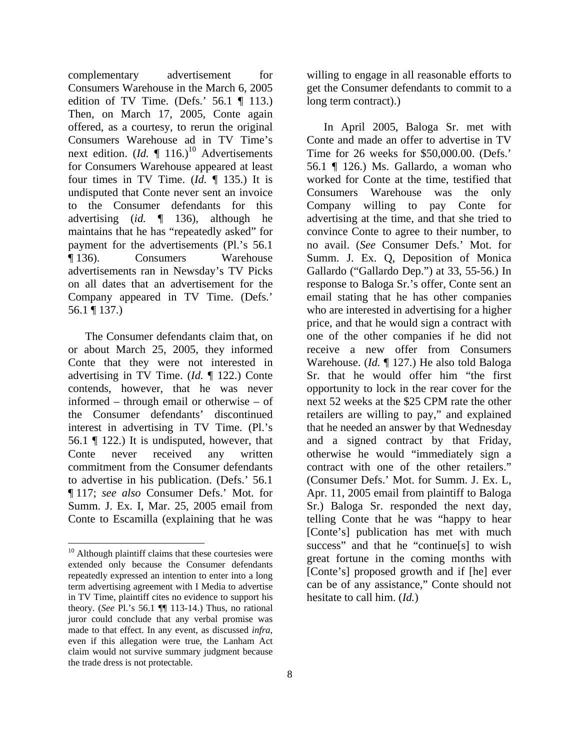complementary advertisement for Consumers Warehouse in the March 6, 2005 edition of TV Time. (Defs.'  $56.1 \text{ } \text{T}$  113.) Then, on March 17, 2005, Conte again offered, as a courtesy, to rerun the original Consumers Warehouse ad in TV Time's next edition.  $(Id. \P 116.)^{10}$  Advertisements for Consumers Warehouse appeared at least four times in TV Time. (*Id.* ¶ 135.) It is undisputed that Conte never sent an invoice to the Consumer defendants for this advertising (*id.* ¶ 136), although he maintains that he has "repeatedly asked" for payment for the advertisements (Pl.'s 56.1 ¶ 136). Consumers Warehouse advertisements ran in Newsday's TV Picks on all dates that an advertisement for the Company appeared in TV Time. (Defs.' 56.1 ¶ 137.)

The Consumer defendants claim that, on or about March 25, 2005, they informed Conte that they were not interested in advertising in TV Time. (*Id.* ¶ 122.) Conte contends, however, that he was never informed – through email or otherwise – of the Consumer defendants' discontinued interest in advertising in TV Time. (Pl.'s 56.1 ¶ 122.) It is undisputed, however, that Conte never received any written commitment from the Consumer defendants to advertise in his publication. (Defs.' 56.1 ¶ 117; *see also* Consumer Defs.' Mot. for Summ. J. Ex. I, Mar. 25, 2005 email from Conte to Escamilla (explaining that he was

l

willing to engage in all reasonable efforts to get the Consumer defendants to commit to a long term contract).)

In April 2005, Baloga Sr. met with Conte and made an offer to advertise in TV Time for 26 weeks for \$50,000.00. (Defs.' 56.1 ¶ 126.) Ms. Gallardo, a woman who worked for Conte at the time, testified that Consumers Warehouse was the only Company willing to pay Conte for advertising at the time, and that she tried to convince Conte to agree to their number, to no avail. (*See* Consumer Defs.' Mot. for Summ. J. Ex. Q, Deposition of Monica Gallardo ("Gallardo Dep.") at 33, 55-56.) In response to Baloga Sr.'s offer, Conte sent an email stating that he has other companies who are interested in advertising for a higher price, and that he would sign a contract with one of the other companies if he did not receive a new offer from Consumers Warehouse. (*Id.* ¶ 127.) He also told Baloga Sr. that he would offer him "the first opportunity to lock in the rear cover for the next 52 weeks at the \$25 CPM rate the other retailers are willing to pay," and explained that he needed an answer by that Wednesday and a signed contract by that Friday, otherwise he would "immediately sign a contract with one of the other retailers." (Consumer Defs.' Mot. for Summ. J. Ex. L, Apr. 11, 2005 email from plaintiff to Baloga Sr.) Baloga Sr. responded the next day, telling Conte that he was "happy to hear [Conte's] publication has met with much success" and that he "continue[s] to wish great fortune in the coming months with [Conte's] proposed growth and if [he] ever can be of any assistance," Conte should not hesitate to call him. (*Id.*)

<sup>&</sup>lt;sup>10</sup> Although plaintiff claims that these courtesies were extended only because the Consumer defendants repeatedly expressed an intention to enter into a long term advertising agreement with I Media to advertise in TV Time, plaintiff cites no evidence to support his theory. (*See* Pl.'s 56.1 ¶¶ 113-14.) Thus, no rational juror could conclude that any verbal promise was made to that effect. In any event, as discussed *infra*, even if this allegation were true, the Lanham Act claim would not survive summary judgment because the trade dress is not protectable.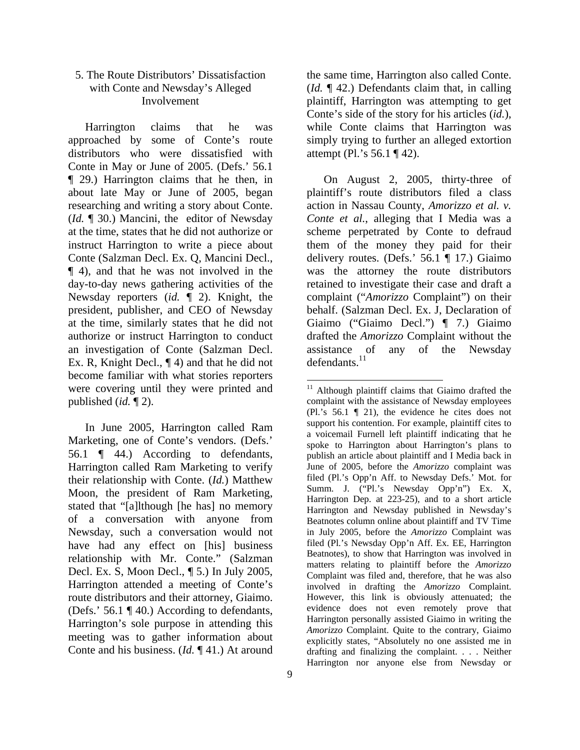# 5. The Route Distributors' Dissatisfaction with Conte and Newsday's Alleged Involvement

Harrington claims that he was approached by some of Conte's route distributors who were dissatisfied with Conte in May or June of 2005. (Defs.' 56.1 ¶ 29.) Harrington claims that he then, in about late May or June of 2005, began researching and writing a story about Conte. (*Id.* ¶ 30.) Mancini, the editor of Newsday at the time, states that he did not authorize or instruct Harrington to write a piece about Conte (Salzman Decl. Ex. Q, Mancini Decl., ¶ 4), and that he was not involved in the day-to-day news gathering activities of the Newsday reporters (*id.* ¶ 2). Knight, the president, publisher, and CEO of Newsday at the time, similarly states that he did not authorize or instruct Harrington to conduct an investigation of Conte (Salzman Decl. Ex. R, Knight Decl., ¶ 4) and that he did not become familiar with what stories reporters were covering until they were printed and published (*id.* ¶ 2).

In June 2005, Harrington called Ram Marketing, one of Conte's vendors. (Defs.' 56.1 ¶ 44.) According to defendants, Harrington called Ram Marketing to verify their relationship with Conte. (*Id.*) Matthew Moon, the president of Ram Marketing, stated that "[a]lthough [he has] no memory of a conversation with anyone from Newsday, such a conversation would not have had any effect on [his] business relationship with Mr. Conte." (Salzman Decl. Ex. S, Moon Decl., ¶ 5.) In July 2005, Harrington attended a meeting of Conte's route distributors and their attorney, Giaimo. (Defs.' 56.1 ¶ 40.) According to defendants, Harrington's sole purpose in attending this meeting was to gather information about Conte and his business. (*Id.* ¶ 41.) At around

the same time, Harrington also called Conte. (*Id.* ¶ 42.) Defendants claim that, in calling plaintiff, Harrington was attempting to get Conte's side of the story for his articles (*id.*), while Conte claims that Harrington was simply trying to further an alleged extortion attempt (Pl.'s 56.1 ¶ 42).

On August 2, 2005, thirty-three of plaintiff's route distributors filed a class action in Nassau County, *Amorizzo et al. v. Conte et al.*, alleging that I Media was a scheme perpetrated by Conte to defraud them of the money they paid for their delivery routes. (Defs.' 56.1 ¶ 17.) Giaimo was the attorney the route distributors retained to investigate their case and draft a complaint ("*Amorizzo* Complaint") on their behalf. (Salzman Decl. Ex. J, Declaration of Giaimo ("Giaimo Decl.") ¶ 7.) Giaimo drafted the *Amorizzo* Complaint without the assistance of any of the Newsday defendants.<sup>11</sup>

l <sup>11</sup> Although plaintiff claims that Giaimo drafted the complaint with the assistance of Newsday employees (Pl.'s 56.1 ¶ 21), the evidence he cites does not support his contention. For example, plaintiff cites to a voicemail Furnell left plaintiff indicating that he spoke to Harrington about Harrington's plans to publish an article about plaintiff and I Media back in June of 2005, before the *Amorizzo* complaint was filed (Pl.'s Opp'n Aff. to Newsday Defs.' Mot. for Summ. J. ("Pl.'s Newsday Opp'n") Ex. X, Harrington Dep. at 223-25), and to a short article Harrington and Newsday published in Newsday's Beatnotes column online about plaintiff and TV Time in July 2005, before the *Amorizzo* Complaint was filed (Pl.'s Newsday Opp'n Aff. Ex. EE, Harrington Beatnotes), to show that Harrington was involved in matters relating to plaintiff before the *Amorizzo*  Complaint was filed and, therefore, that he was also involved in drafting the *Amorizzo* Complaint. However, this link is obviously attenuated; the evidence does not even remotely prove that Harrington personally assisted Giaimo in writing the *Amorizzo* Complaint. Quite to the contrary, Giaimo explicitly states, "Absolutely no one assisted me in drafting and finalizing the complaint. . . . Neither Harrington nor anyone else from Newsday or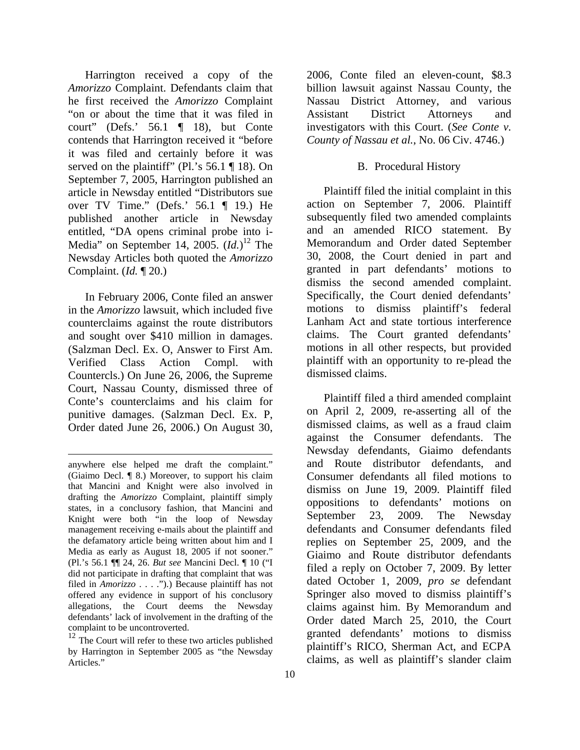Harrington received a copy of the *Amorizzo* Complaint. Defendants claim that he first received the *Amorizzo* Complaint "on or about the time that it was filed in court" (Defs.' 56.1 ¶ 18), but Conte contends that Harrington received it "before it was filed and certainly before it was served on the plaintiff" (Pl.'s 56.1 ¶ 18). On September 7, 2005, Harrington published an article in Newsday entitled "Distributors sue over TV Time." (Defs.' 56.1 ¶ 19.) He published another article in Newsday entitled, "DA opens criminal probe into i-Media" on September 14, 2005. (*Id.*) 12 The Newsday Articles both quoted the *Amorizzo*  Complaint. (*Id.* ¶ 20.)

In February 2006, Conte filed an answer in the *Amorizzo* lawsuit, which included five counterclaims against the route distributors and sought over \$410 million in damages. (Salzman Decl. Ex. O, Answer to First Am. Verified Class Action Compl. with Countercls.) On June 26, 2006, the Supreme Court, Nassau County, dismissed three of Conte's counterclaims and his claim for punitive damages. (Salzman Decl. Ex. P, Order dated June 26, 2006.) On August 30,

l

billion lawsuit against Nassau County, the Nassau District Attorney, and various Assistant District Attorneys and investigators with this Court. (*See Conte v. County of Nassau et al.*, No. 06 Civ. 4746.)

2006, Conte filed an eleven-count, \$8.3

# B. Procedural History

Plaintiff filed the initial complaint in this action on September 7, 2006. Plaintiff subsequently filed two amended complaints and an amended RICO statement. By Memorandum and Order dated September 30, 2008, the Court denied in part and granted in part defendants' motions to dismiss the second amended complaint. Specifically, the Court denied defendants' motions to dismiss plaintiff's federal Lanham Act and state tortious interference claims. The Court granted defendants' motions in all other respects, but provided plaintiff with an opportunity to re-plead the dismissed claims.

Plaintiff filed a third amended complaint on April 2, 2009, re-asserting all of the dismissed claims, as well as a fraud claim against the Consumer defendants. The Newsday defendants, Giaimo defendants and Route distributor defendants, and Consumer defendants all filed motions to dismiss on June 19, 2009. Plaintiff filed oppositions to defendants' motions on September 23, 2009. The Newsday defendants and Consumer defendants filed replies on September 25, 2009, and the Giaimo and Route distributor defendants filed a reply on October 7, 2009. By letter dated October 1, 2009, *pro se* defendant Springer also moved to dismiss plaintiff's claims against him. By Memorandum and Order dated March 25, 2010, the Court granted defendants' motions to dismiss plaintiff's RICO, Sherman Act, and ECPA claims, as well as plaintiff's slander claim

anywhere else helped me draft the complaint." (Giaimo Decl. ¶ 8.) Moreover, to support his claim that Mancini and Knight were also involved in drafting the *Amorizzo* Complaint, plaintiff simply states, in a conclusory fashion, that Mancini and Knight were both "in the loop of Newsday management receiving e-mails about the plaintiff and the defamatory article being written about him and I Media as early as August 18, 2005 if not sooner." (Pl.'s 56.1 ¶¶ 24, 26. *But see* Mancini Decl. ¶ 10 ("I did not participate in drafting that complaint that was filed in *Amorizzo* . . . .").) Because plaintiff has not offered any evidence in support of his conclusory allegations, the Court deems the Newsday defendants' lack of involvement in the drafting of the complaint to be uncontroverted.

 $12$  The Court will refer to these two articles published by Harrington in September 2005 as "the Newsday Articles."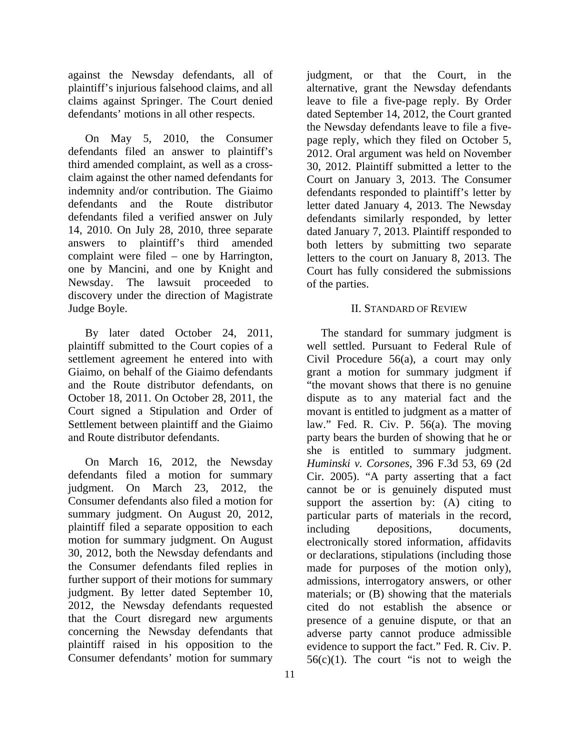against the Newsday defendants, all of plaintiff's injurious falsehood claims, and all claims against Springer. The Court denied defendants' motions in all other respects.

On May 5, 2010, the Consumer defendants filed an answer to plaintiff's third amended complaint, as well as a crossclaim against the other named defendants for indemnity and/or contribution. The Giaimo defendants and the Route distributor defendants filed a verified answer on July 14, 2010. On July 28, 2010, three separate answers to plaintiff's third amended complaint were filed – one by Harrington, one by Mancini, and one by Knight and Newsday. The lawsuit proceeded to discovery under the direction of Magistrate Judge Boyle.

By later dated October 24, 2011, plaintiff submitted to the Court copies of a settlement agreement he entered into with Giaimo, on behalf of the Giaimo defendants and the Route distributor defendants, on October 18, 2011. On October 28, 2011, the Court signed a Stipulation and Order of Settlement between plaintiff and the Giaimo and Route distributor defendants.

On March 16, 2012, the Newsday defendants filed a motion for summary judgment. On March 23, 2012, the Consumer defendants also filed a motion for summary judgment. On August 20, 2012, plaintiff filed a separate opposition to each motion for summary judgment. On August 30, 2012, both the Newsday defendants and the Consumer defendants filed replies in further support of their motions for summary judgment. By letter dated September 10, 2012, the Newsday defendants requested that the Court disregard new arguments concerning the Newsday defendants that plaintiff raised in his opposition to the Consumer defendants' motion for summary

alternative, grant the Newsday defendants leave to file a five-page reply. By Order dated September 14, 2012, the Court granted the Newsday defendants leave to file a fivepage reply, which they filed on October 5, 2012. Oral argument was held on November 30, 2012. Plaintiff submitted a letter to the Court on January 3, 2013. The Consumer defendants responded to plaintiff's letter by letter dated January 4, 2013. The Newsday defendants similarly responded, by letter dated January 7, 2013. Plaintiff responded to both letters by submitting two separate letters to the court on January 8, 2013. The Court has fully considered the submissions of the parties. II. STANDARD OF REVIEW

judgment, or that the Court, in the

# The standard for summary judgment is well settled. Pursuant to Federal Rule of Civil Procedure 56(a), a court may only grant a motion for summary judgment if "the movant shows that there is no genuine dispute as to any material fact and the movant is entitled to judgment as a matter of law." Fed. R. Civ. P. 56(a). The moving party bears the burden of showing that he or she is entitled to summary judgment. *Huminski v. Corsones*, 396 F.3d 53, 69 (2d Cir. 2005). "A party asserting that a fact cannot be or is genuinely disputed must support the assertion by: (A) citing to particular parts of materials in the record, including depositions, documents, electronically stored information, affidavits or declarations, stipulations (including those made for purposes of the motion only), admissions, interrogatory answers, or other materials; or (B) showing that the materials cited do not establish the absence or presence of a genuine dispute, or that an adverse party cannot produce admissible evidence to support the fact." Fed. R. Civ. P.  $56(c)(1)$ . The court "is not to weigh the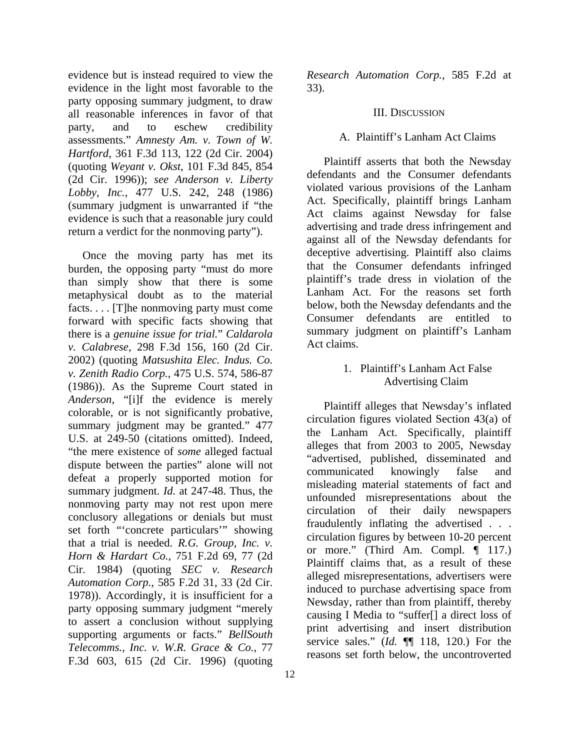evidence but is instead required to view the evidence in the light most favorable to the party opposing summary judgment, to draw all reasonable inferences in favor of that party, and to eschew credibility assessments." *Amnesty Am. v. Town of W. Hartford*, 361 F.3d 113, 122 (2d Cir. 2004) (quoting *Weyant v. Okst*, 101 F.3d 845, 854 (2d Cir. 1996)); *see Anderson v. Liberty Lobby, Inc.*, 477 U.S. 242, 248 (1986) (summary judgment is unwarranted if "the evidence is such that a reasonable jury could return a verdict for the nonmoving party").

Once the moving party has met its burden, the opposing party "must do more than simply show that there is some metaphysical doubt as to the material facts. . . . [T]he nonmoving party must come forward with specific facts showing that there is a *genuine issue for trial.*" *Caldarola v. Calabrese*, 298 F.3d 156, 160 (2d Cir. 2002) (quoting *Matsushita Elec. Indus. Co. v. Zenith Radio Corp.*, 475 U.S. 574, 586-87 (1986)). As the Supreme Court stated in *Anderson*, "[i]f the evidence is merely colorable, or is not significantly probative, summary judgment may be granted." 477 U.S. at 249-50 (citations omitted). Indeed, "the mere existence of *some* alleged factual dispute between the parties" alone will not defeat a properly supported motion for summary judgment. *Id.* at 247-48. Thus, the nonmoving party may not rest upon mere conclusory allegations or denials but must set forth "'concrete particulars'" showing that a trial is needed. *R.G. Group, Inc. v. Horn & Hardart Co.*, 751 F.2d 69, 77 (2d Cir. 1984) (quoting *SEC v. Research Automation Corp.*, 585 F.2d 31, 33 (2d Cir. 1978)). Accordingly, it is insufficient for a party opposing summary judgment "merely to assert a conclusion without supplying supporting arguments or facts." *BellSouth Telecomms., Inc. v. W.R. Grace & Co.*, 77 F.3d 603, 615 (2d Cir. 1996) (quoting

*Research Automation Corp.*, 585 F.2d at 33).

#### III. DISCUSSION

#### A. Plaintiff's Lanham Act Claims

Plaintiff asserts that both the Newsday defendants and the Consumer defendants violated various provisions of the Lanham Act. Specifically, plaintiff brings Lanham Act claims against Newsday for false advertising and trade dress infringement and against all of the Newsday defendants for deceptive advertising. Plaintiff also claims that the Consumer defendants infringed plaintiff's trade dress in violation of the Lanham Act. For the reasons set forth below, both the Newsday defendants and the Consumer defendants are entitled to summary judgment on plaintiff's Lanham Act claims.

# 1. Plaintiff's Lanham Act False Advertising Claim

Plaintiff alleges that Newsday's inflated circulation figures violated Section 43(a) of the Lanham Act. Specifically, plaintiff alleges that from 2003 to 2005, Newsday "advertised, published, disseminated and communicated knowingly false and misleading material statements of fact and unfounded misrepresentations about the circulation of their daily newspapers fraudulently inflating the advertised . . . circulation figures by between 10-20 percent or more." (Third Am. Compl. ¶ 117.) Plaintiff claims that, as a result of these alleged misrepresentations, advertisers were induced to purchase advertising space from Newsday, rather than from plaintiff, thereby causing I Media to "suffer[] a direct loss of print advertising and insert distribution service sales." (*Id.* ¶¶ 118, 120.) For the reasons set forth below, the uncontroverted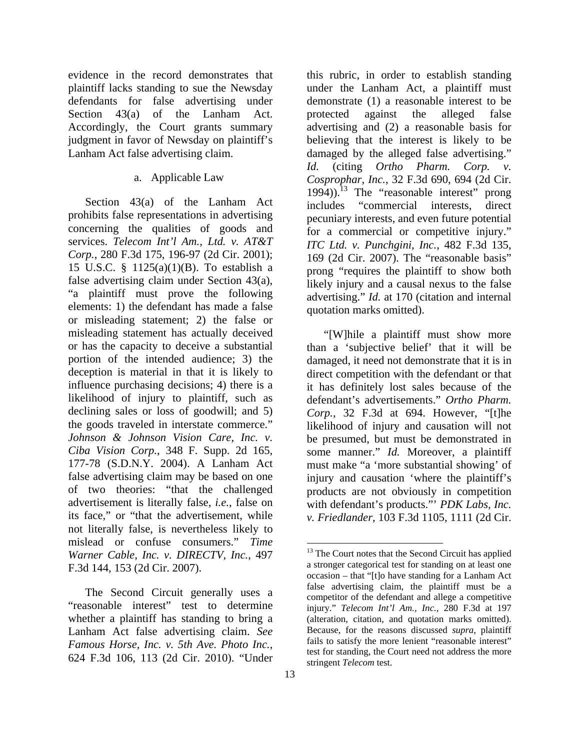evidence in the record demonstrates that plaintiff lacks standing to sue the Newsday defendants for false advertising under Section 43(a) of the Lanham Act. Accordingly, the Court grants summary judgment in favor of Newsday on plaintiff's Lanham Act false advertising claim.

### a. Applicable Law

Section 43(a) of the Lanham Act prohibits false representations in advertising concerning the qualities of goods and services. *Telecom Int'l Am., Ltd. v. AT&T Corp.*, 280 F.3d 175, 196-97 (2d Cir. 2001); 15 U.S.C. § 1125(a)(1)(B). To establish a false advertising claim under Section 43(a), "a plaintiff must prove the following elements: 1) the defendant has made a false or misleading statement; 2) the false or misleading statement has actually deceived or has the capacity to deceive a substantial portion of the intended audience; 3) the deception is material in that it is likely to influence purchasing decisions; 4) there is a likelihood of injury to plaintiff, such as declining sales or loss of goodwill; and 5) the goods traveled in interstate commerce." *Johnson & Johnson Vision Care, Inc. v. Ciba Vision Corp.*, 348 F. Supp. 2d 165, 177-78 (S.D.N.Y. 2004). A Lanham Act false advertising claim may be based on one of two theories: "that the challenged advertisement is literally false, *i.e.*, false on its face," or "that the advertisement, while not literally false, is nevertheless likely to mislead or confuse consumers." *Time Warner Cable, Inc. v. DIRECTV, Inc.*, 497 F.3d 144, 153 (2d Cir. 2007).

The Second Circuit generally uses a "reasonable interest" test to determine whether a plaintiff has standing to bring a Lanham Act false advertising claim. *See Famous Horse, Inc. v. 5th Ave. Photo Inc.*, 624 F.3d 106, 113 (2d Cir. 2010). "Under

this rubric, in order to establish standing under the Lanham Act, a plaintiff must demonstrate (1) a reasonable interest to be protected against the alleged false advertising and (2) a reasonable basis for believing that the interest is likely to be damaged by the alleged false advertising." *Id.* (citing *Ortho Pharm. Corp. v. Cosprophar, Inc.*, 32 F.3d 690, 694 (2d Cir.  $1994)$ ).<sup>13</sup> The "reasonable interest" prong includes "commercial interests, direct pecuniary interests, and even future potential for a commercial or competitive injury." *ITC Ltd. v. Punchgini, Inc.*, 482 F.3d 135, 169 (2d Cir. 2007). The "reasonable basis" prong "requires the plaintiff to show both likely injury and a causal nexus to the false advertising." *Id.* at 170 (citation and internal quotation marks omitted).

"[W]hile a plaintiff must show more than a 'subjective belief' that it will be damaged, it need not demonstrate that it is in direct competition with the defendant or that it has definitely lost sales because of the defendant's advertisements." *Ortho Pharm. Corp.*, 32 F.3d at 694. However, "[t]he likelihood of injury and causation will not be presumed, but must be demonstrated in some manner." *Id.* Moreover, a plaintiff must make "a 'more substantial showing' of injury and causation 'where the plaintiff's products are not obviously in competition with defendant's products."' *PDK Labs, Inc. v. Friedlander*, 103 F.3d 1105, 1111 (2d Cir.

<sup>&</sup>lt;sup>13</sup> The Court notes that the Second Circuit has applied a stronger categorical test for standing on at least one occasion – that "[t]o have standing for a Lanham Act false advertising claim, the plaintiff must be a competitor of the defendant and allege a competitive injury." *Telecom Int'l Am., Inc.*, 280 F.3d at 197 (alteration, citation, and quotation marks omitted). Because, for the reasons discussed *supra*, plaintiff fails to satisfy the more lenient "reasonable interest" test for standing, the Court need not address the more stringent *Telecom* test.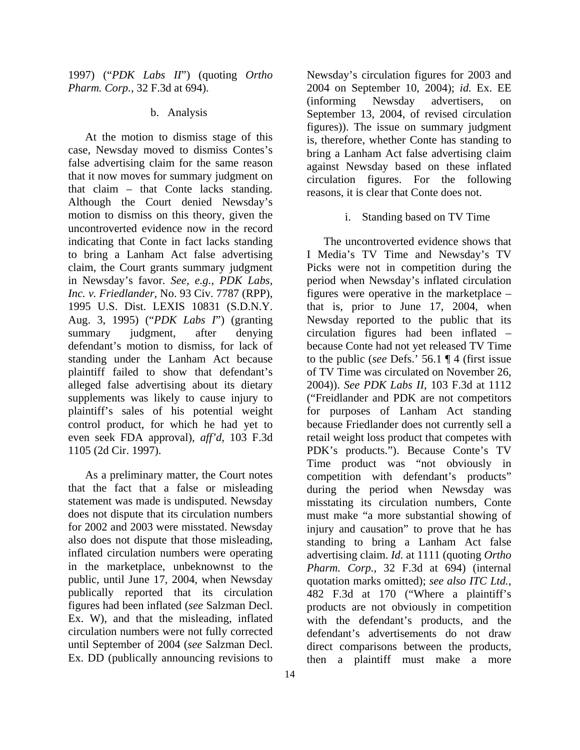1997) ("*PDK Labs II*") (quoting *Ortho Pharm. Corp.*, 32 F.3d at 694).

### b. Analysis

At the motion to dismiss stage of this case, Newsday moved to dismiss Contes's false advertising claim for the same reason that it now moves for summary judgment on that claim – that Conte lacks standing. Although the Court denied Newsday's motion to dismiss on this theory, given the uncontroverted evidence now in the record indicating that Conte in fact lacks standing to bring a Lanham Act false advertising claim, the Court grants summary judgment in Newsday's favor. *See, e.g.*, *PDK Labs, Inc. v. Friedlander*, No. 93 Civ. 7787 (RPP), 1995 U.S. Dist. LEXIS 10831 (S.D.N.Y. Aug. 3, 1995) ("*PDK Labs I*") (granting summary judgment, after denying defendant's motion to dismiss, for lack of standing under the Lanham Act because plaintiff failed to show that defendant's alleged false advertising about its dietary supplements was likely to cause injury to plaintiff's sales of his potential weight control product, for which he had yet to even seek FDA approval), *aff'd*, 103 F.3d 1105 (2d Cir. 1997).

As a preliminary matter, the Court notes that the fact that a false or misleading statement was made is undisputed. Newsday does not dispute that its circulation numbers for 2002 and 2003 were misstated. Newsday also does not dispute that those misleading, inflated circulation numbers were operating in the marketplace, unbeknownst to the public, until June 17, 2004, when Newsday publically reported that its circulation figures had been inflated (*see* Salzman Decl. Ex. W), and that the misleading, inflated circulation numbers were not fully corrected until September of 2004 (*see* Salzman Decl. Ex. DD (publically announcing revisions to

Newsday's circulation figures for 2003 and 2004 on September 10, 2004); *id.* Ex. EE (informing Newsday advertisers, on September 13, 2004, of revised circulation figures)). The issue on summary judgment is, therefore, whether Conte has standing to bring a Lanham Act false advertising claim against Newsday based on these inflated circulation figures. For the following reasons, it is clear that Conte does not.

#### i. Standing based on TV Time

The uncontroverted evidence shows that I Media's TV Time and Newsday's TV Picks were not in competition during the period when Newsday's inflated circulation figures were operative in the marketplace – that is, prior to June 17, 2004, when Newsday reported to the public that its circulation figures had been inflated – because Conte had not yet released TV Time to the public (*see* Defs.' 56.1 ¶ 4 (first issue of TV Time was circulated on November 26, 2004)). *See PDK Labs II*, 103 F.3d at 1112 ("Freidlander and PDK are not competitors for purposes of Lanham Act standing because Friedlander does not currently sell a retail weight loss product that competes with PDK's products."). Because Conte's TV Time product was "not obviously in competition with defendant's products" during the period when Newsday was misstating its circulation numbers, Conte must make "a more substantial showing of injury and causation" to prove that he has standing to bring a Lanham Act false advertising claim. *Id.* at 1111 (quoting *Ortho Pharm. Corp.*, 32 F.3d at 694) (internal quotation marks omitted); *see also ITC Ltd.*, 482 F.3d at 170 ("Where a plaintiff's products are not obviously in competition with the defendant's products, and the defendant's advertisements do not draw direct comparisons between the products, then a plaintiff must make a more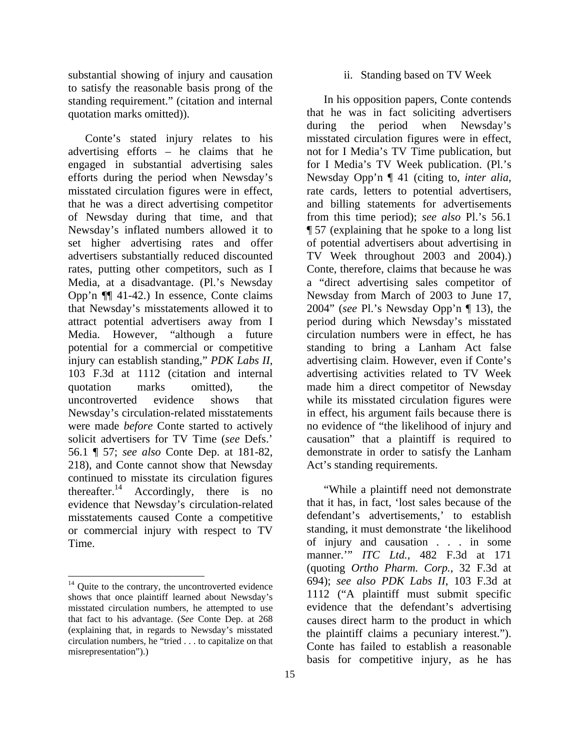substantial showing of injury and causation to satisfy the reasonable basis prong of the standing requirement." (citation and internal quotation marks omitted)).

Conte's stated injury relates to his advertising efforts – he claims that he engaged in substantial advertising sales efforts during the period when Newsday's misstated circulation figures were in effect, that he was a direct advertising competitor of Newsday during that time, and that Newsday's inflated numbers allowed it to set higher advertising rates and offer advertisers substantially reduced discounted rates, putting other competitors, such as I Media, at a disadvantage. (Pl.'s Newsday Opp'n ¶¶ 41-42.) In essence, Conte claims that Newsday's misstatements allowed it to attract potential advertisers away from I Media. However, "although a future potential for a commercial or competitive injury can establish standing," *PDK Labs II*, 103 F.3d at 1112 (citation and internal quotation marks omitted), the uncontroverted evidence shows that Newsday's circulation-related misstatements were made *before* Conte started to actively solicit advertisers for TV Time (*see* Defs.' 56.1 ¶ 57; *see also* Conte Dep. at 181-82, 218), and Conte cannot show that Newsday continued to misstate its circulation figures thereafter.<sup>14</sup> Accordingly, there is no evidence that Newsday's circulation-related misstatements caused Conte a competitive or commercial injury with respect to TV Time.

l

#### ii. Standing based on TV Week

In his opposition papers, Conte contends that he was in fact soliciting advertisers during the period when Newsday's misstated circulation figures were in effect, not for I Media's TV Time publication, but for I Media's TV Week publication. (Pl.'s Newsday Opp'n ¶ 41 (citing to, *inter alia*, rate cards, letters to potential advertisers, and billing statements for advertisements from this time period); *see also* Pl.'s 56.1 ¶ 57 (explaining that he spoke to a long list of potential advertisers about advertising in TV Week throughout 2003 and 2004).) Conte, therefore, claims that because he was a "direct advertising sales competitor of Newsday from March of 2003 to June 17, 2004" (*see* Pl.'s Newsday Opp'n ¶ 13), the period during which Newsday's misstated circulation numbers were in effect, he has standing to bring a Lanham Act false advertising claim. However, even if Conte's advertising activities related to TV Week made him a direct competitor of Newsday while its misstated circulation figures were in effect, his argument fails because there is no evidence of "the likelihood of injury and causation" that a plaintiff is required to demonstrate in order to satisfy the Lanham Act's standing requirements.

"While a plaintiff need not demonstrate that it has, in fact, 'lost sales because of the defendant's advertisements,' to establish standing, it must demonstrate 'the likelihood of injury and causation . . . in some manner.'" *ITC Ltd.*, 482 F.3d at 171 (quoting *Ortho Pharm. Corp.*, 32 F.3d at 694); *see also PDK Labs II*, 103 F.3d at 1112 ("A plaintiff must submit specific evidence that the defendant's advertising causes direct harm to the product in which the plaintiff claims a pecuniary interest."). Conte has failed to establish a reasonable basis for competitive injury, as he has

 $14$  Quite to the contrary, the uncontroverted evidence shows that once plaintiff learned about Newsday's misstated circulation numbers, he attempted to use that fact to his advantage. (*See* Conte Dep. at 268 (explaining that, in regards to Newsday's misstated circulation numbers, he "tried . . . to capitalize on that misrepresentation").)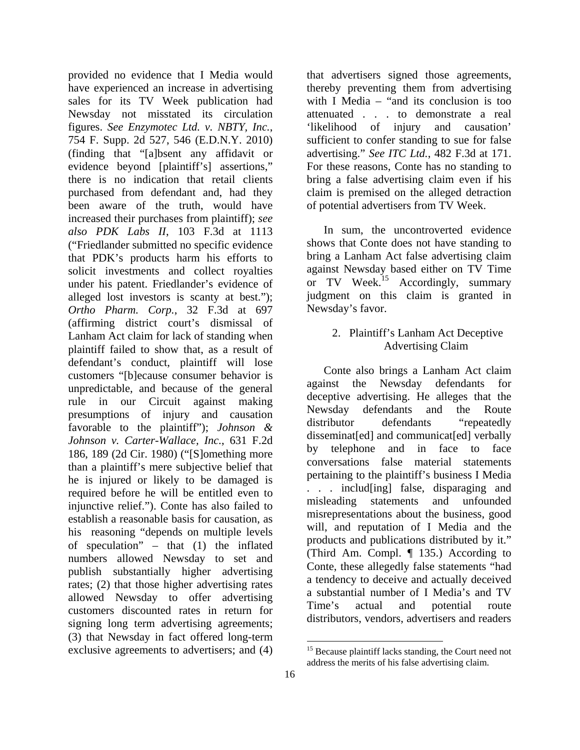provided no evidence that I Media would have experienced an increase in advertising sales for its TV Week publication had Newsday not misstated its circulation figures. *See Enzymotec Ltd. v. NBTY, Inc.*, 754 F. Supp. 2d 527, 546 (E.D.N.Y. 2010) (finding that "[a]bsent any affidavit or evidence beyond [plaintiff's] assertions," there is no indication that retail clients purchased from defendant and, had they been aware of the truth, would have increased their purchases from plaintiff); *see also PDK Labs II*, 103 F.3d at 1113 ("Friedlander submitted no specific evidence that PDK's products harm his efforts to solicit investments and collect royalties under his patent. Friedlander's evidence of alleged lost investors is scanty at best."); *Ortho Pharm. Corp.*, 32 F.3d at 697 (affirming district court's dismissal of Lanham Act claim for lack of standing when plaintiff failed to show that, as a result of defendant's conduct, plaintiff will lose customers "[b]ecause consumer behavior is unpredictable, and because of the general rule in our Circuit against making presumptions of injury and causation favorable to the plaintiff"); *Johnson & Johnson v. Carter-Wallace, Inc.*, 631 F.2d 186, 189 (2d Cir. 1980) ("[S]omething more than a plaintiff's mere subjective belief that he is injured or likely to be damaged is required before he will be entitled even to injunctive relief."). Conte has also failed to establish a reasonable basis for causation, as his reasoning "depends on multiple levels of speculation" – that (1) the inflated numbers allowed Newsday to set and publish substantially higher advertising rates; (2) that those higher advertising rates allowed Newsday to offer advertising customers discounted rates in return for signing long term advertising agreements; (3) that Newsday in fact offered long-term exclusive agreements to advertisers; and (4)

that advertisers signed those agreements, thereby preventing them from advertising with I Media – "and its conclusion is too attenuated . . . to demonstrate a real 'likelihood of injury and causation' sufficient to confer standing to sue for false advertising." *See ITC Ltd.*, 482 F.3d at 171. For these reasons, Conte has no standing to bring a false advertising claim even if his claim is premised on the alleged detraction of potential advertisers from TV Week.

In sum, the uncontroverted evidence shows that Conte does not have standing to bring a Lanham Act false advertising claim against Newsday based either on TV Time or TV Week.<sup>15</sup> Accordingly, summary judgment on this claim is granted in Newsday's favor.

> 2. Plaintiff's Lanham Act Deceptive Advertising Claim

Conte also brings a Lanham Act claim against the Newsday defendants for deceptive advertising. He alleges that the Newsday defendants and the Route distributor defendants "repeatedly disseminat[ed] and communicat[ed] verbally by telephone and in face to face conversations false material statements pertaining to the plaintiff's business I Media . . . includ[ing] false, disparaging and misleading statements and unfounded misrepresentations about the business, good will, and reputation of I Media and the products and publications distributed by it." (Third Am. Compl. ¶ 135.) According to Conte, these allegedly false statements "had a tendency to deceive and actually deceived a substantial number of I Media's and TV Time's actual and potential route distributors, vendors, advertisers and readers

l <sup>15</sup> Because plaintiff lacks standing, the Court need not address the merits of his false advertising claim.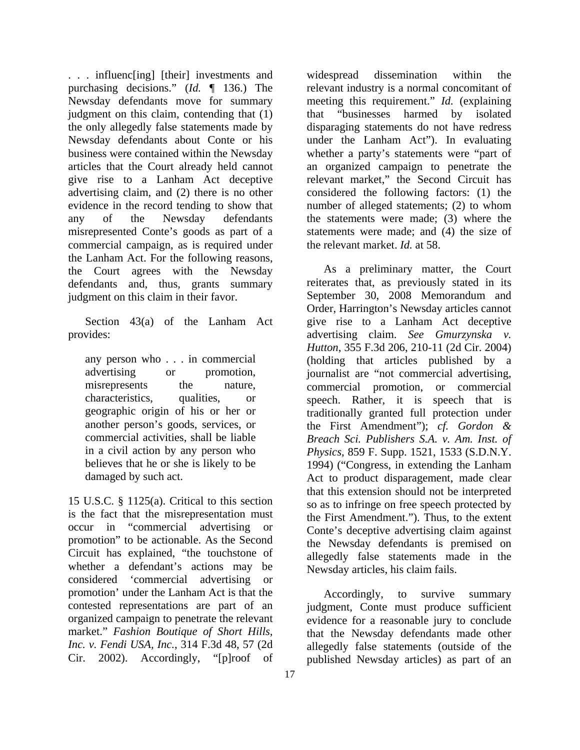. . . influenc[ing] [their] investments and purchasing decisions." (*Id.* ¶ 136.) The Newsday defendants move for summary judgment on this claim, contending that (1) the only allegedly false statements made by Newsday defendants about Conte or his business were contained within the Newsday articles that the Court already held cannot give rise to a Lanham Act deceptive advertising claim, and (2) there is no other evidence in the record tending to show that any of the Newsday defendants misrepresented Conte's goods as part of a commercial campaign, as is required under the Lanham Act. For the following reasons, the Court agrees with the Newsday defendants and, thus, grants summary judgment on this claim in their favor.

Section 43(a) of the Lanham Act provides:

any person who . . . in commercial advertising or promotion, misrepresents the nature, characteristics, qualities, or geographic origin of his or her or another person's goods, services, or commercial activities, shall be liable in a civil action by any person who believes that he or she is likely to be damaged by such act.

15 U.S.C. § 1125(a). Critical to this section is the fact that the misrepresentation must occur in "commercial advertising or promotion" to be actionable. As the Second Circuit has explained, "the touchstone of whether a defendant's actions may be considered 'commercial advertising or promotion' under the Lanham Act is that the contested representations are part of an organized campaign to penetrate the relevant market." *Fashion Boutique of Short Hills, Inc. v. Fendi USA, Inc.*, 314 F.3d 48, 57 (2d Cir. 2002). Accordingly, "[p]roof of

widespread dissemination within the relevant industry is a normal concomitant of meeting this requirement." *Id.* (explaining that "businesses harmed by isolated disparaging statements do not have redress under the Lanham Act"). In evaluating whether a party's statements were "part of an organized campaign to penetrate the relevant market," the Second Circuit has considered the following factors: (1) the number of alleged statements; (2) to whom the statements were made; (3) where the statements were made; and (4) the size of the relevant market. *Id.* at 58.

As a preliminary matter, the Court reiterates that, as previously stated in its September 30, 2008 Memorandum and Order, Harrington's Newsday articles cannot give rise to a Lanham Act deceptive advertising claim. *See Gmurzynska v. Hutton*, 355 F.3d 206, 210-11 (2d Cir. 2004) (holding that articles published by a journalist are "not commercial advertising, commercial promotion, or commercial speech. Rather, it is speech that is traditionally granted full protection under the First Amendment"); *cf. Gordon & Breach Sci. Publishers S.A. v. Am. Inst. of Physics*, 859 F. Supp. 1521, 1533 (S.D.N.Y. 1994) ("Congress, in extending the Lanham Act to product disparagement, made clear that this extension should not be interpreted so as to infringe on free speech protected by the First Amendment."). Thus, to the extent Conte's deceptive advertising claim against the Newsday defendants is premised on allegedly false statements made in the Newsday articles, his claim fails.

Accordingly, to survive summary judgment, Conte must produce sufficient evidence for a reasonable jury to conclude that the Newsday defendants made other allegedly false statements (outside of the published Newsday articles) as part of an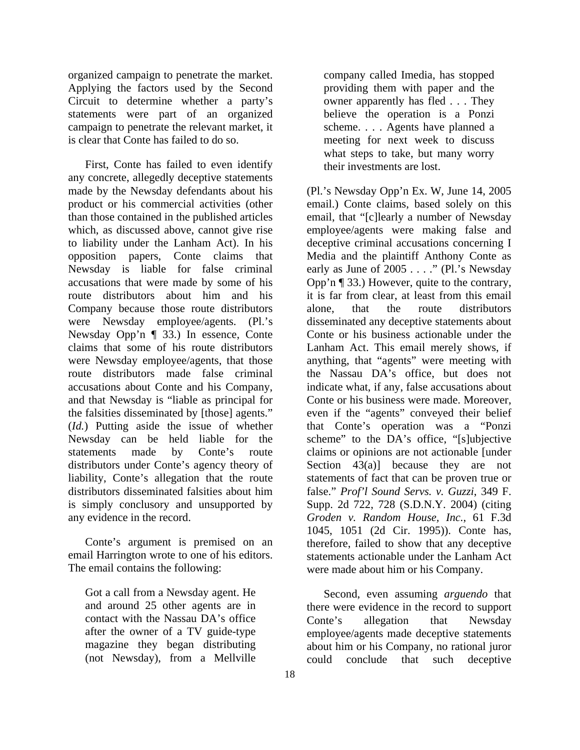organized campaign to penetrate the market. Applying the factors used by the Second Circuit to determine whether a party's statements were part of an organized campaign to penetrate the relevant market, it is clear that Conte has failed to do so.

First, Conte has failed to even identify any concrete, allegedly deceptive statements made by the Newsday defendants about his product or his commercial activities (other than those contained in the published articles which, as discussed above, cannot give rise to liability under the Lanham Act). In his opposition papers, Conte claims that Newsday is liable for false criminal accusations that were made by some of his route distributors about him and his Company because those route distributors were Newsday employee/agents. (Pl.'s Newsday Opp'n ¶ 33.) In essence, Conte claims that some of his route distributors were Newsday employee/agents, that those route distributors made false criminal accusations about Conte and his Company, and that Newsday is "liable as principal for the falsities disseminated by [those] agents." (*Id.*) Putting aside the issue of whether Newsday can be held liable for the statements made by Conte's route distributors under Conte's agency theory of liability, Conte's allegation that the route distributors disseminated falsities about him is simply conclusory and unsupported by any evidence in the record.

Conte's argument is premised on an email Harrington wrote to one of his editors. The email contains the following:

Got a call from a Newsday agent. He and around 25 other agents are in contact with the Nassau DA's office after the owner of a TV guide-type magazine they began distributing (not Newsday), from a Mellville

company called Imedia, has stopped providing them with paper and the owner apparently has fled . . . They believe the operation is a Ponzi scheme. . . . Agents have planned a meeting for next week to discuss what steps to take, but many worry their investments are lost.

(Pl.'s Newsday Opp'n Ex. W, June 14, 2005 email.) Conte claims, based solely on this email, that "[c]learly a number of Newsday employee/agents were making false and deceptive criminal accusations concerning I Media and the plaintiff Anthony Conte as early as June of 2005 . . . ." (Pl.'s Newsday Opp'n ¶ 33.) However, quite to the contrary, it is far from clear, at least from this email alone, that the route distributors disseminated any deceptive statements about Conte or his business actionable under the Lanham Act. This email merely shows, if anything, that "agents" were meeting with the Nassau DA's office, but does not indicate what, if any, false accusations about Conte or his business were made. Moreover, even if the "agents" conveyed their belief that Conte's operation was a "Ponzi scheme" to the DA's office, "[s]ubjective claims or opinions are not actionable [under Section  $43(a)$ ] because they are not statements of fact that can be proven true or false." *Prof'l Sound Servs. v. Guzzi*, 349 F. Supp. 2d 722, 728 (S.D.N.Y. 2004) (citing *Groden v. Random House, Inc.*, 61 F.3d 1045, 1051 (2d Cir. 1995)). Conte has, therefore, failed to show that any deceptive statements actionable under the Lanham Act were made about him or his Company.

Second, even assuming *arguendo* that there were evidence in the record to support Conte's allegation that Newsday employee/agents made deceptive statements about him or his Company, no rational juror could conclude that such deceptive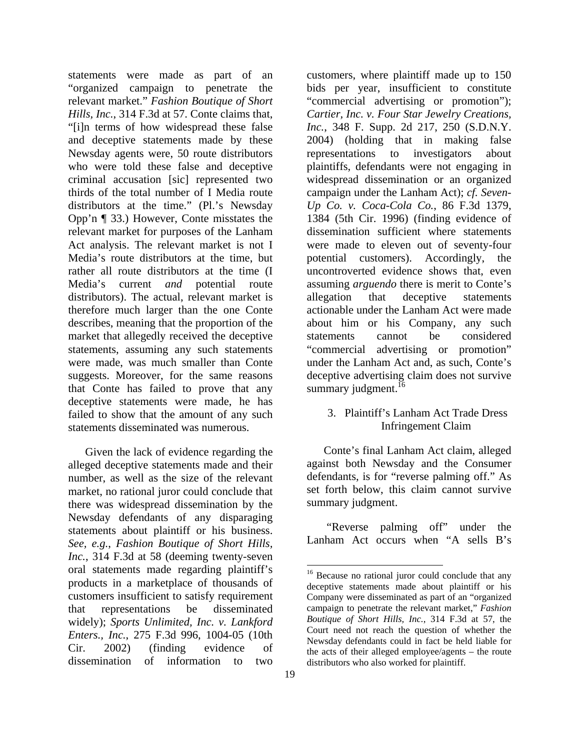statements were made as part of an "organized campaign to penetrate the relevant market." *Fashion Boutique of Short Hills, Inc.*, 314 F.3d at 57. Conte claims that, "[i]n terms of how widespread these false and deceptive statements made by these Newsday agents were, 50 route distributors who were told these false and deceptive criminal accusation [sic] represented two thirds of the total number of I Media route distributors at the time." (Pl.'s Newsday Opp'n ¶ 33.) However, Conte misstates the relevant market for purposes of the Lanham Act analysis. The relevant market is not I Media's route distributors at the time, but rather all route distributors at the time (I Media's current *and* potential route distributors). The actual, relevant market is therefore much larger than the one Conte describes, meaning that the proportion of the market that allegedly received the deceptive statements, assuming any such statements were made, was much smaller than Conte suggests. Moreover, for the same reasons that Conte has failed to prove that any deceptive statements were made, he has failed to show that the amount of any such statements disseminated was numerous.

Given the lack of evidence regarding the alleged deceptive statements made and their number, as well as the size of the relevant market, no rational juror could conclude that there was widespread dissemination by the Newsday defendants of any disparaging statements about plaintiff or his business. *See, e.g.*, *Fashion Boutique of Short Hills, Inc.*, 314 F.3d at 58 (deeming twenty-seven oral statements made regarding plaintiff's products in a marketplace of thousands of customers insufficient to satisfy requirement that representations be disseminated widely); *Sports Unlimited, Inc. v. Lankford Enters., Inc.*, 275 F.3d 996, 1004-05 (10th Cir. 2002) (finding evidence of dissemination of information to two

customers, where plaintiff made up to 150 bids per year, insufficient to constitute "commercial advertising or promotion"); *Cartier, Inc. v. Four Star Jewelry Creations, Inc.*, 348 F. Supp. 2d 217, 250 (S.D.N.Y. 2004) (holding that in making false representations to investigators about plaintiffs, defendants were not engaging in widespread dissemination or an organized campaign under the Lanham Act); *cf. Seven-Up Co. v. Coca-Cola Co.*, 86 F.3d 1379, 1384 (5th Cir. 1996) (finding evidence of dissemination sufficient where statements were made to eleven out of seventy-four potential customers). Accordingly, the uncontroverted evidence shows that, even assuming *arguendo* there is merit to Conte's allegation that deceptive statements actionable under the Lanham Act were made about him or his Company, any such statements cannot be considered "commercial advertising or promotion" under the Lanham Act and, as such, Conte's deceptive advertising claim does not survive summary judgment.<sup>16</sup>

### 3. Plaintiff's Lanham Act Trade Dress Infringement Claim

Conte's final Lanham Act claim, alleged against both Newsday and the Consumer defendants, is for "reverse palming off." As set forth below, this claim cannot survive summary judgment.

 "Reverse palming off" under the Lanham Act occurs when "A sells B's

<sup>&</sup>lt;sup>16</sup> Because no rational juror could conclude that any deceptive statements made about plaintiff or his Company were disseminated as part of an "organized campaign to penetrate the relevant market," *Fashion Boutique of Short Hills, Inc.*, 314 F.3d at 57, the Court need not reach the question of whether the Newsday defendants could in fact be held liable for the acts of their alleged employee/agents – the route distributors who also worked for plaintiff.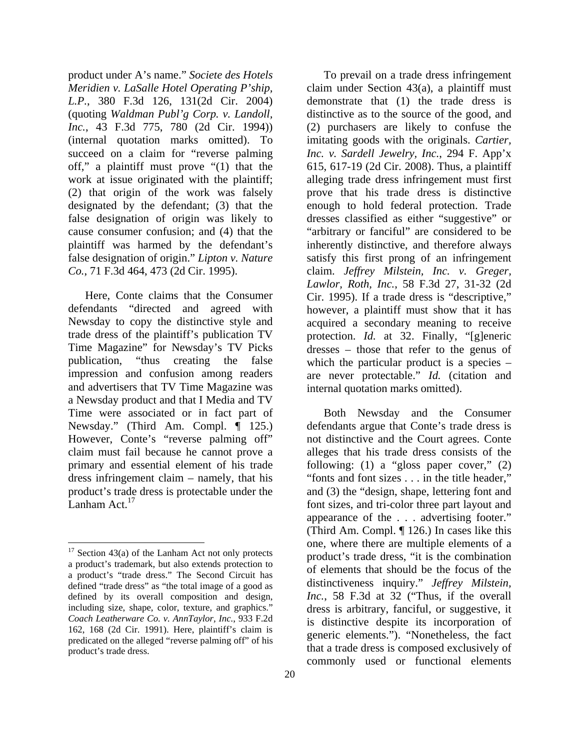product under A's name." *Societe des Hotels Meridien v. LaSalle Hotel Operating P'ship, L.P.*, 380 F.3d 126, 131(2d Cir. 2004) (quoting *Waldman Publ'g Corp. v. Landoll, Inc.*, 43 F.3d 775, 780 (2d Cir. 1994)) (internal quotation marks omitted). To succeed on a claim for "reverse palming off," a plaintiff must prove "(1) that the work at issue originated with the plaintiff; (2) that origin of the work was falsely designated by the defendant; (3) that the false designation of origin was likely to cause consumer confusion; and (4) that the plaintiff was harmed by the defendant's false designation of origin." *Lipton v. Nature Co.*, 71 F.3d 464, 473 (2d Cir. 1995).

Here, Conte claims that the Consumer defendants "directed and agreed with Newsday to copy the distinctive style and trade dress of the plaintiff's publication TV Time Magazine" for Newsday's TV Picks publication, "thus creating the false impression and confusion among readers and advertisers that TV Time Magazine was a Newsday product and that I Media and TV Time were associated or in fact part of Newsday." (Third Am. Compl. ¶ 125.) However, Conte's "reverse palming off" claim must fail because he cannot prove a primary and essential element of his trade dress infringement claim – namely, that his product's trade dress is protectable under the Lanham Act.<sup>17</sup>

l

To prevail on a trade dress infringement claim under Section 43(a), a plaintiff must demonstrate that (1) the trade dress is distinctive as to the source of the good, and (2) purchasers are likely to confuse the imitating goods with the originals. *Cartier, Inc. v. Sardell Jewelry, Inc.*, 294 F. App'x 615, 617-19 (2d Cir. 2008). Thus, a plaintiff alleging trade dress infringement must first prove that his trade dress is distinctive enough to hold federal protection. Trade dresses classified as either "suggestive" or "arbitrary or fanciful" are considered to be inherently distinctive, and therefore always satisfy this first prong of an infringement claim. *Jeffrey Milstein, Inc. v. Greger, Lawlor, Roth, Inc.*, 58 F.3d 27, 31-32 (2d Cir. 1995). If a trade dress is "descriptive," however, a plaintiff must show that it has acquired a secondary meaning to receive protection. *Id.* at 32. Finally, "[g]eneric dresses – those that refer to the genus of which the particular product is a species – are never protectable." *Id.* (citation and internal quotation marks omitted).

Both Newsday and the Consumer defendants argue that Conte's trade dress is not distinctive and the Court agrees. Conte alleges that his trade dress consists of the following: (1) a "gloss paper cover,"  $(2)$ "fonts and font sizes . . . in the title header," and (3) the "design, shape, lettering font and font sizes, and tri-color three part layout and appearance of the . . . advertising footer." (Third Am. Compl. ¶ 126.) In cases like this one, where there are multiple elements of a product's trade dress, "it is the combination of elements that should be the focus of the distinctiveness inquiry." *Jeffrey Milstein, Inc.*, 58 F.3d at 32 ("Thus, if the overall dress is arbitrary, fanciful, or suggestive, it is distinctive despite its incorporation of generic elements."). "Nonetheless, the fact that a trade dress is composed exclusively of commonly used or functional elements

 $17$  Section 43(a) of the Lanham Act not only protects a product's trademark, but also extends protection to a product's "trade dress." The Second Circuit has defined "trade dress" as "the total image of a good as defined by its overall composition and design, including size, shape, color, texture, and graphics." *Coach Leatherware Co. v. AnnTaylor, Inc.*, 933 F.2d 162, 168 (2d Cir. 1991). Here, plaintiff's claim is predicated on the alleged "reverse palming off" of his product's trade dress.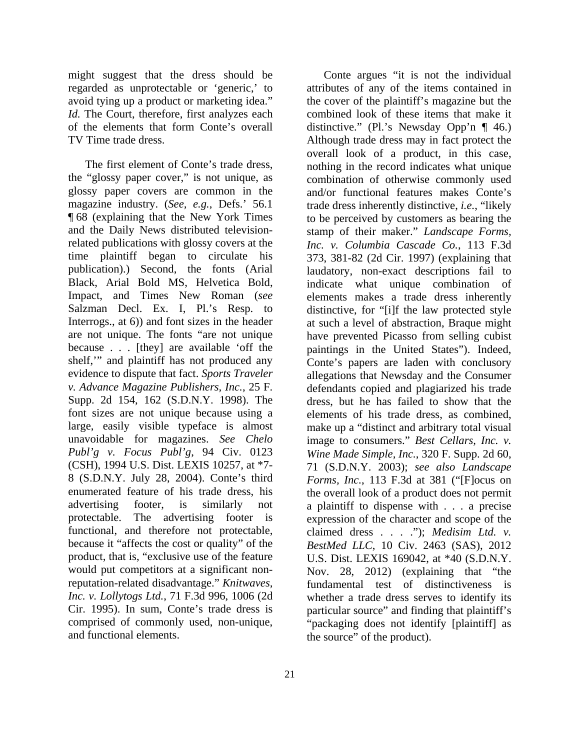might suggest that the dress should be regarded as unprotectable or 'generic,' to avoid tying up a product or marketing idea." *Id.* The Court, therefore, first analyzes each of the elements that form Conte's overall TV Time trade dress.

The first element of Conte's trade dress, the "glossy paper cover," is not unique, as glossy paper covers are common in the magazine industry. (*See, e.g.*, Defs.' 56.1 ¶ 68 (explaining that the New York Times and the Daily News distributed televisionrelated publications with glossy covers at the time plaintiff began to circulate his publication).) Second, the fonts (Arial Black, Arial Bold MS, Helvetica Bold, Impact, and Times New Roman (*see*  Salzman Decl. Ex. I, Pl.'s Resp. to Interrogs., at 6)) and font sizes in the header are not unique. The fonts "are not unique because . . . [they] are available 'off the shelf," and plaintiff has not produced any evidence to dispute that fact. *Sports Traveler v. Advance Magazine Publishers, Inc.*, 25 F. Supp. 2d 154, 162 (S.D.N.Y. 1998). The font sizes are not unique because using a large, easily visible typeface is almost unavoidable for magazines. *See Chelo Publ'g v. Focus Publ'g*, 94 Civ. 0123 (CSH), 1994 U.S. Dist. LEXIS 10257, at \*7- 8 (S.D.N.Y. July 28, 2004). Conte's third enumerated feature of his trade dress, his advertising footer, is similarly not protectable. The advertising footer is functional, and therefore not protectable, because it "affects the cost or quality" of the product, that is, "exclusive use of the feature would put competitors at a significant nonreputation-related disadvantage." *Knitwaves, Inc. v. Lollytogs Ltd.*, 71 F.3d 996, 1006 (2d Cir. 1995). In sum, Conte's trade dress is comprised of commonly used, non-unique, and functional elements.

Conte argues "it is not the individual attributes of any of the items contained in the cover of the plaintiff's magazine but the combined look of these items that make it distinctive." (Pl.'s Newsday Opp'n ¶ 46.) Although trade dress may in fact protect the overall look of a product, in this case, nothing in the record indicates what unique combination of otherwise commonly used and/or functional features makes Conte's trade dress inherently distinctive, *i.e.*, "likely to be perceived by customers as bearing the stamp of their maker." *Landscape Forms, Inc. v. Columbia Cascade Co.*, 113 F.3d 373, 381-82 (2d Cir. 1997) (explaining that laudatory, non-exact descriptions fail to indicate what unique combination of elements makes a trade dress inherently distinctive, for "[i]f the law protected style at such a level of abstraction, Braque might have prevented Picasso from selling cubist paintings in the United States"). Indeed, Conte's papers are laden with conclusory allegations that Newsday and the Consumer defendants copied and plagiarized his trade dress, but he has failed to show that the elements of his trade dress, as combined, make up a "distinct and arbitrary total visual image to consumers." *Best Cellars, Inc. v. Wine Made Simple, Inc.*, 320 F. Supp. 2d 60, 71 (S.D.N.Y. 2003); *see also Landscape Forms, Inc.*, 113 F.3d at 381 ("[F]ocus on the overall look of a product does not permit a plaintiff to dispense with . . . a precise expression of the character and scope of the claimed dress . . . ."); *Medisim Ltd. v. BestMed LLC*, 10 Civ. 2463 (SAS), 2012 U.S. Dist. LEXIS 169042, at \*40 (S.D.N.Y. Nov. 28, 2012) (explaining that "the fundamental test of distinctiveness is whether a trade dress serves to identify its particular source" and finding that plaintiff's "packaging does not identify [plaintiff] as the source" of the product).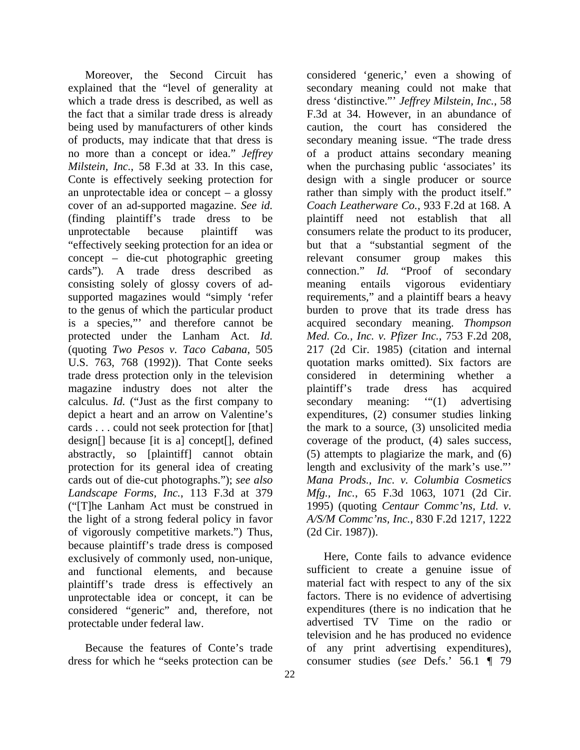Moreover, the Second Circuit has explained that the "level of generality at which a trade dress is described, as well as the fact that a similar trade dress is already being used by manufacturers of other kinds of products, may indicate that that dress is no more than a concept or idea." *Jeffrey Milstein, Inc.*, 58 F.3d at 33. In this case, Conte is effectively seeking protection for an unprotectable idea or concept – a glossy cover of an ad-supported magazine. *See id.* (finding plaintiff's trade dress to be unprotectable because plaintiff was "effectively seeking protection for an idea or concept – die-cut photographic greeting cards"). A trade dress described as consisting solely of glossy covers of adsupported magazines would "simply 'refer to the genus of which the particular product is a species,"' and therefore cannot be protected under the Lanham Act. *Id.* (quoting *Two Pesos v. Taco Cabana*, 505 U.S. 763, 768 (1992)). That Conte seeks trade dress protection only in the television magazine industry does not alter the calculus. *Id.* ("Just as the first company to depict a heart and an arrow on Valentine's cards . . . could not seek protection for [that] design[] because [it is a] concept[], defined abstractly, so [plaintiff] cannot obtain protection for its general idea of creating cards out of die-cut photographs."); *see also Landscape Forms, Inc.*, 113 F.3d at 379 ("[T]he Lanham Act must be construed in the light of a strong federal policy in favor of vigorously competitive markets.") Thus, because plaintiff's trade dress is composed exclusively of commonly used, non-unique, and functional elements, and because plaintiff's trade dress is effectively an unprotectable idea or concept, it can be considered "generic" and, therefore, not protectable under federal law.

Because the features of Conte's trade dress for which he "seeks protection can be

considered 'generic,' even a showing of secondary meaning could not make that dress 'distinctive."' *Jeffrey Milstein, Inc.*, 58 F.3d at 34. However, in an abundance of caution, the court has considered the secondary meaning issue. "The trade dress of a product attains secondary meaning when the purchasing public 'associates' its design with a single producer or source rather than simply with the product itself." *Coach Leatherware Co.*, 933 F.2d at 168. A plaintiff need not establish that all consumers relate the product to its producer, but that a "substantial segment of the relevant consumer group makes this connection." *Id.* "Proof of secondary meaning entails vigorous evidentiary requirements," and a plaintiff bears a heavy burden to prove that its trade dress has acquired secondary meaning. *Thompson Med. Co., Inc. v. Pfizer Inc.*, 753 F.2d 208, 217 (2d Cir. 1985) (citation and internal quotation marks omitted). Six factors are considered in determining whether a plaintiff's trade dress has acquired secondary meaning: "(1) advertising expenditures, (2) consumer studies linking the mark to a source, (3) unsolicited media coverage of the product, (4) sales success, (5) attempts to plagiarize the mark, and (6) length and exclusivity of the mark's use."' *Mana Prods., Inc. v. Columbia Cosmetics Mfg., Inc.*, 65 F.3d 1063, 1071 (2d Cir. 1995) (quoting *Centaur Commc'ns, Ltd. v. A/S/M Commc'ns, Inc.*, 830 F.2d 1217, 1222 (2d Cir. 1987)).

Here, Conte fails to advance evidence sufficient to create a genuine issue of material fact with respect to any of the six factors. There is no evidence of advertising expenditures (there is no indication that he advertised TV Time on the radio or television and he has produced no evidence of any print advertising expenditures), consumer studies (*see* Defs.' 56.1 ¶ 79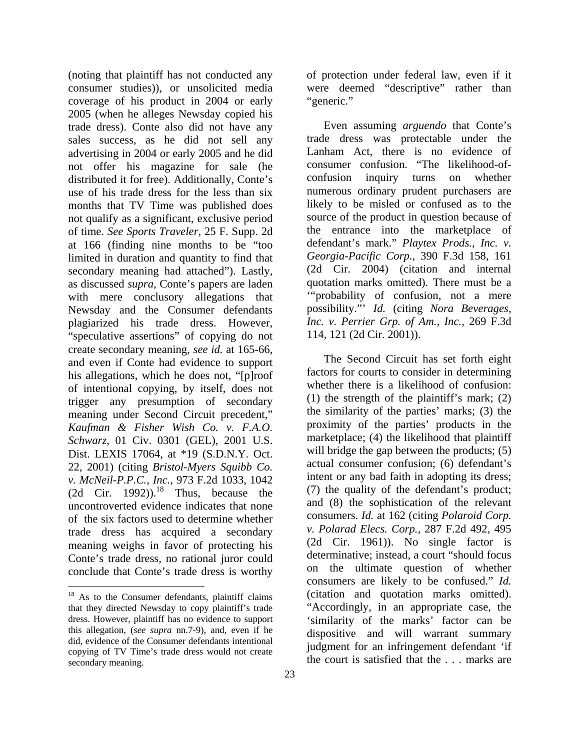(noting that plaintiff has not conducted any consumer studies)), or unsolicited media coverage of his product in 2004 or early 2005 (when he alleges Newsday copied his trade dress). Conte also did not have any sales success, as he did not sell any advertising in 2004 or early 2005 and he did not offer his magazine for sale (he distributed it for free). Additionally, Conte's use of his trade dress for the less than six months that TV Time was published does not qualify as a significant, exclusive period of time. *See Sports Traveler*, 25 F. Supp. 2d at 166 (finding nine months to be "too limited in duration and quantity to find that secondary meaning had attached"). Lastly, as discussed *supra*, Conte's papers are laden with mere conclusory allegations that Newsday and the Consumer defendants plagiarized his trade dress. However, "speculative assertions" of copying do not create secondary meaning, *see id.* at 165-66, and even if Conte had evidence to support his allegations, which he does not, "[p]roof of intentional copying, by itself, does not trigger any presumption of secondary meaning under Second Circuit precedent," *Kaufman & Fisher Wish Co. v. F.A.O. Schwarz*, 01 Civ. 0301 (GEL), 2001 U.S. Dist. LEXIS 17064, at \*19 (S.D.N.Y. Oct. 22, 2001) (citing *Bristol-Myers Squibb Co. v. McNeil-P.P.C., Inc.*, 973 F.2d 1033, 1042 (2d Cir. 1992)).<sup>18</sup> Thus, because the uncontroverted evidence indicates that none of the six factors used to determine whether trade dress has acquired a secondary meaning weighs in favor of protecting his Conte's trade dress, no rational juror could conclude that Conte's trade dress is worthy

l

of protection under federal law, even if it were deemed "descriptive" rather than "generic."

Even assuming *arguendo* that Conte's trade dress was protectable under the Lanham Act, there is no evidence of consumer confusion. "The likelihood-ofconfusion inquiry turns on whether numerous ordinary prudent purchasers are likely to be misled or confused as to the source of the product in question because of the entrance into the marketplace of defendant's mark." *Playtex Prods., Inc. v. Georgia-Pacific Corp.*, 390 F.3d 158, 161 (2d Cir. 2004) (citation and internal quotation marks omitted). There must be a '"probability of confusion, not a mere possibility."' *Id.* (citing *Nora Beverages, Inc. v. Perrier Grp. of Am., Inc.*, 269 F.3d 114, 121 (2d Cir. 2001)).

The Second Circuit has set forth eight factors for courts to consider in determining whether there is a likelihood of confusion: (1) the strength of the plaintiff's mark; (2) the similarity of the parties' marks; (3) the proximity of the parties' products in the marketplace; (4) the likelihood that plaintiff will bridge the gap between the products;  $(5)$ actual consumer confusion; (6) defendant's intent or any bad faith in adopting its dress; (7) the quality of the defendant's product; and (8) the sophistication of the relevant consumers. *Id.* at 162 (citing *Polaroid Corp. v. Polarad Elecs. Corp.*, 287 F.2d 492, 495 (2d Cir. 1961)). No single factor is determinative; instead, a court "should focus on the ultimate question of whether consumers are likely to be confused." *Id.* (citation and quotation marks omitted). "Accordingly, in an appropriate case, the 'similarity of the marks' factor can be dispositive and will warrant summary judgment for an infringement defendant 'if the court is satisfied that the . . . marks are

<sup>&</sup>lt;sup>18</sup> As to the Consumer defendants, plaintiff claims that they directed Newsday to copy plaintiff's trade dress. However, plaintiff has no evidence to support this allegation, (*see supra* nn.7-9), and, even if he did, evidence of the Consumer defendants intentional copying of TV Time's trade dress would not create secondary meaning.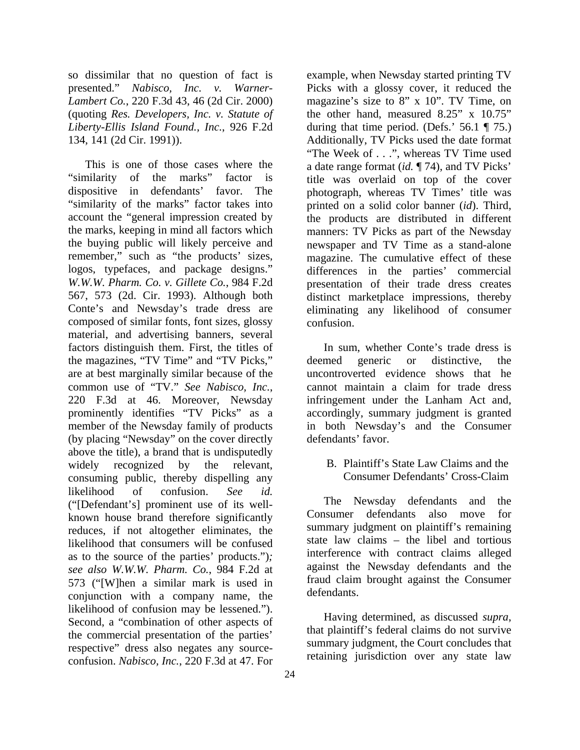so dissimilar that no question of fact is presented." *Nabisco, Inc. v. Warner-Lambert Co.*, 220 F.3d 43, 46 (2d Cir. 2000) (quoting *Res. Developers, Inc. v. Statute of Liberty-Ellis Island Found., Inc.*, 926 F.2d 134, 141 (2d Cir. 1991)).

This is one of those cases where the "similarity of the marks" factor is dispositive in defendants' favor. The "similarity of the marks" factor takes into account the "general impression created by the marks, keeping in mind all factors which the buying public will likely perceive and remember," such as "the products' sizes, logos, typefaces, and package designs." *W.W.W. Pharm. Co. v. Gillete Co.*, 984 F.2d 567, 573 (2d. Cir. 1993). Although both Conte's and Newsday's trade dress are composed of similar fonts, font sizes, glossy material, and advertising banners, several factors distinguish them. First, the titles of the magazines, "TV Time" and "TV Picks," are at best marginally similar because of the common use of "TV." *See Nabisco, Inc.*, 220 F.3d at 46. Moreover, Newsday prominently identifies "TV Picks" as a member of the Newsday family of products (by placing "Newsday" on the cover directly above the title), a brand that is undisputedly widely recognized by the relevant, consuming public, thereby dispelling any likelihood of confusion. *See id.* ("[Defendant's] prominent use of its wellknown house brand therefore significantly reduces, if not altogether eliminates, the likelihood that consumers will be confused as to the source of the parties' products.")*; see also W.W.W. Pharm. Co.*, 984 F.2d at 573 ("[W]hen a similar mark is used in conjunction with a company name, the likelihood of confusion may be lessened."). Second, a "combination of other aspects of the commercial presentation of the parties' respective" dress also negates any sourceconfusion. *Nabisco, Inc.*, 220 F.3d at 47. For

example, when Newsday started printing TV Picks with a glossy cover, it reduced the magazine's size to 8" x 10". TV Time, on the other hand, measured 8.25" x 10.75" during that time period. (Defs.'  $56.1 \text{ T}$  75.) Additionally, TV Picks used the date format "The Week of . . .", whereas TV Time used a date range format (*id.* ¶ 74), and TV Picks' title was overlaid on top of the cover photograph, whereas TV Times' title was printed on a solid color banner (*id*). Third, the products are distributed in different manners: TV Picks as part of the Newsday newspaper and TV Time as a stand-alone magazine. The cumulative effect of these differences in the parties' commercial presentation of their trade dress creates distinct marketplace impressions, thereby eliminating any likelihood of consumer confusion.

In sum, whether Conte's trade dress is deemed generic or distinctive, the uncontroverted evidence shows that he cannot maintain a claim for trade dress infringement under the Lanham Act and, accordingly, summary judgment is granted in both Newsday's and the Consumer defendants' favor.

B. Plaintiff's State Law Claims and the Consumer Defendants' Cross-Claim

The Newsday defendants and the Consumer defendants also move for summary judgment on plaintiff's remaining state law claims – the libel and tortious interference with contract claims alleged against the Newsday defendants and the fraud claim brought against the Consumer defendants.

Having determined, as discussed *supra*, that plaintiff's federal claims do not survive summary judgment, the Court concludes that retaining jurisdiction over any state law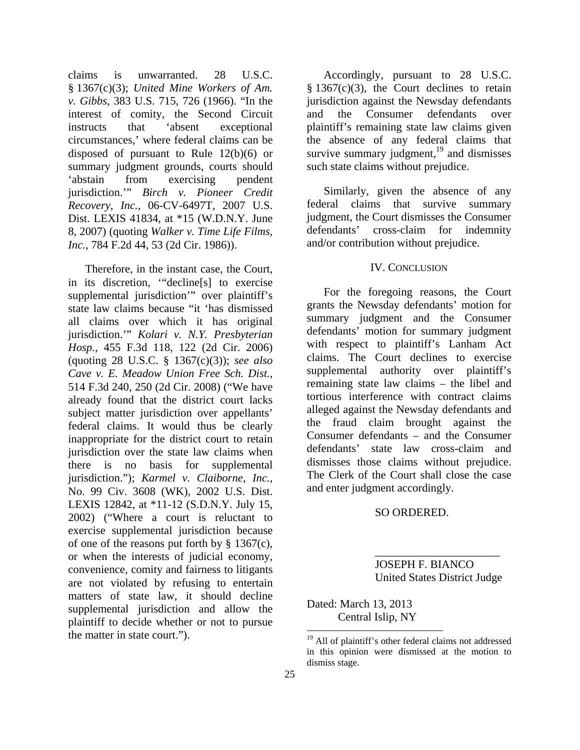claims is unwarranted. 28 U.S.C. § 1367(c)(3); *United Mine Workers of Am. v. Gibbs*, 383 U.S. 715, 726 (1966). "In the interest of comity, the Second Circuit instructs that 'absent exceptional circumstances,' where federal claims can be disposed of pursuant to Rule 12(b)(6) or summary judgment grounds, courts should 'abstain from exercising pendent jurisdiction.'" *Birch v. Pioneer Credit Recovery, Inc.*, 06-CV-6497T, 2007 U.S. Dist. LEXIS 41834, at \*15 (W.D.N.Y. June 8, 2007) (quoting *Walker v. Time Life Films, Inc.*, 784 F.2d 44, 53 (2d Cir. 1986)).

Therefore, in the instant case, the Court, in its discretion, '"decline[s] to exercise supplemental jurisdiction'" over plaintiff's state law claims because "it 'has dismissed all claims over which it has original jurisdiction.'" *Kolari v. N.Y. Presbyterian Hosp.*, 455 F.3d 118, 122 (2d Cir. 2006) (quoting 28 U.S.C. § 1367(c)(3)); *see also Cave v. E. Meadow Union Free Sch. Dist.*, 514 F.3d 240, 250 (2d Cir. 2008) ("We have already found that the district court lacks subject matter jurisdiction over appellants' federal claims. It would thus be clearly inappropriate for the district court to retain jurisdiction over the state law claims when there is no basis for supplemental jurisdiction."); *Karmel v. Claiborne, Inc.*, No. 99 Civ. 3608 (WK), 2002 U.S. Dist. LEXIS 12842, at \*11-12 (S.D.N.Y. July 15, 2002) ("Where a court is reluctant to exercise supplemental jurisdiction because of one of the reasons put forth by § 1367(c), or when the interests of judicial economy, convenience, comity and fairness to litigants are not violated by refusing to entertain matters of state law, it should decline supplemental jurisdiction and allow the plaintiff to decide whether or not to pursue the matter in state court.").

Accordingly, pursuant to 28 U.S.C.  $§ 1367(c)(3)$ , the Court declines to retain jurisdiction against the Newsday defendants and the Consumer defendants over plaintiff's remaining state law claims given the absence of any federal claims that survive summary judgment, $19$  and dismisses such state claims without prejudice.

Similarly, given the absence of any federal claims that survive summary judgment, the Court dismisses the Consumer defendants' cross-claim for indemnity and/or contribution without prejudice.

### IV. CONCLUSION

For the foregoing reasons, the Court grants the Newsday defendants' motion for summary judgment and the Consumer defendants' motion for summary judgment with respect to plaintiff's Lanham Act claims. The Court declines to exercise supplemental authority over plaintiff's remaining state law claims – the libel and tortious interference with contract claims alleged against the Newsday defendants and the fraud claim brought against the Consumer defendants – and the Consumer defendants' state law cross-claim and dismisses those claims without prejudice. The Clerk of the Court shall close the case and enter judgment accordingly.

### SO ORDERED.

 $\overline{\phantom{a}}$  , and the set of the set of the set of the set of the set of the set of the set of the set of the set of the set of the set of the set of the set of the set of the set of the set of the set of the set of the s

 JOSEPH F. BIANCO United States District Judge

Dated: March 13, 2013 Central Islip, NY

<sup>&</sup>lt;sup>19</sup> All of plaintiff's other federal claims not addressed in this opinion were dismissed at the motion to dismiss stage.